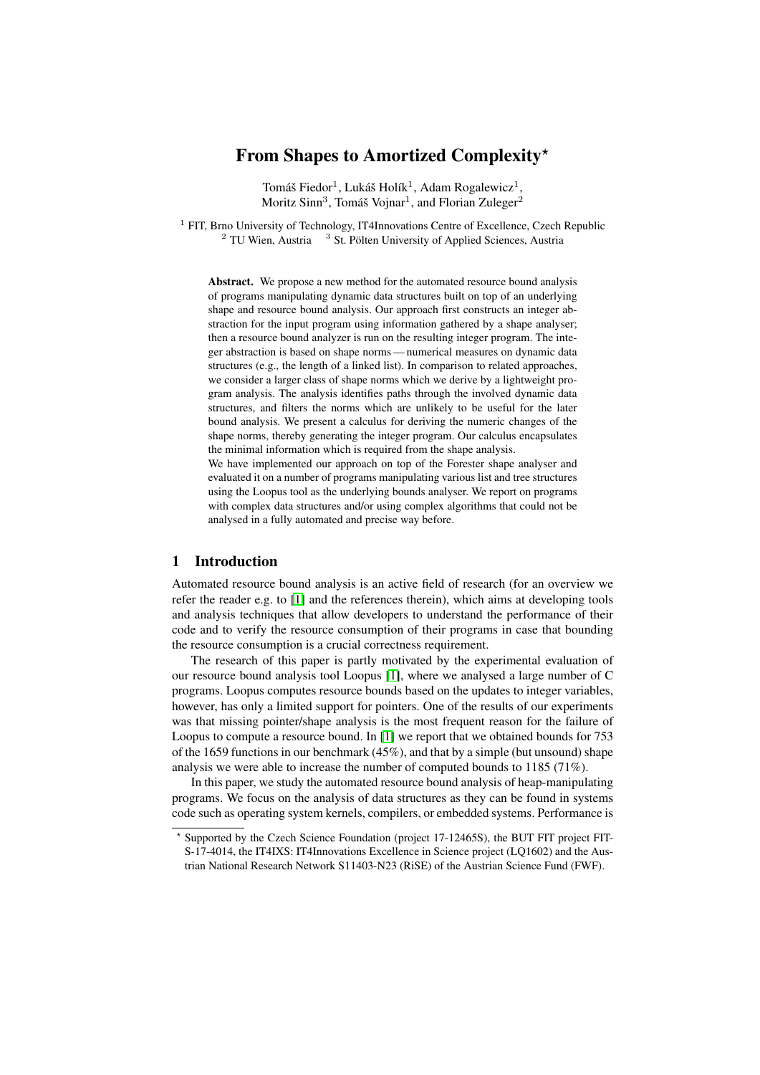# From Shapes to Amortized Complexity\*

Tomáš Fiedor $^1$ , Lukáš Holík $^1$ , Adam Rogalewicz $^1,$ Moritz Sinn<sup>3</sup>, Tomáš Vojnar<sup>1</sup>, and Florian Zuleger<sup>2</sup>

<sup>1</sup> FIT, Brno University of Technology, IT4Innovations Centre of Excellence, Czech Republic  $2$  TU Wien, Austria  $3$  St. Pölten University of Applied Sciences, Austria

Abstract. We propose a new method for the automated resource bound analysis of programs manipulating dynamic data structures built on top of an underlying shape and resource bound analysis. Our approach first constructs an integer abstraction for the input program using information gathered by a shape analyser; then a resource bound analyzer is run on the resulting integer program. The integer abstraction is based on shape norms — numerical measures on dynamic data structures (e.g., the length of a linked list). In comparison to related approaches, we consider a larger class of shape norms which we derive by a lightweight program analysis. The analysis identifies paths through the involved dynamic data structures, and filters the norms which are unlikely to be useful for the later bound analysis. We present a calculus for deriving the numeric changes of the shape norms, thereby generating the integer program. Our calculus encapsulates the minimal information which is required from the shape analysis.

We have implemented our approach on top of the Forester shape analyser and evaluated it on a number of programs manipulating various list and tree structures using the Loopus tool as the underlying bounds analyser. We report on programs with complex data structures and/or using complex algorithms that could not be analysed in a fully automated and precise way before.

## 1 Introduction

Automated resource bound analysis is an active field of research (for an overview we refer the reader e.g. to [\[1\]](#page-20-0) and the references therein), which aims at developing tools and analysis techniques that allow developers to understand the performance of their code and to verify the resource consumption of their programs in case that bounding the resource consumption is a crucial correctness requirement.

The research of this paper is partly motivated by the experimental evaluation of our resource bound analysis tool Loopus [\[1\]](#page-20-0), where we analysed a large number of C programs. Loopus computes resource bounds based on the updates to integer variables, however, has only a limited support for pointers. One of the results of our experiments was that missing pointer/shape analysis is the most frequent reason for the failure of Loopus to compute a resource bound. In [\[1\]](#page-20-0) we report that we obtained bounds for 753 of the 1659 functions in our benchmark (45%), and that by a simple (but unsound) shape analysis we were able to increase the number of computed bounds to 1185 (71%).

In this paper, we study the automated resource bound analysis of heap-manipulating programs. We focus on the analysis of data structures as they can be found in systems code such as operating system kernels, compilers, or embedded systems. Performance is

<sup>?</sup> Supported by the Czech Science Foundation (project 17-12465S), the BUT FIT project FIT-S-17-4014, the IT4IXS: IT4Innovations Excellence in Science project (LQ1602) and the Austrian National Research Network S11403-N23 (RiSE) of the Austrian Science Fund (FWF).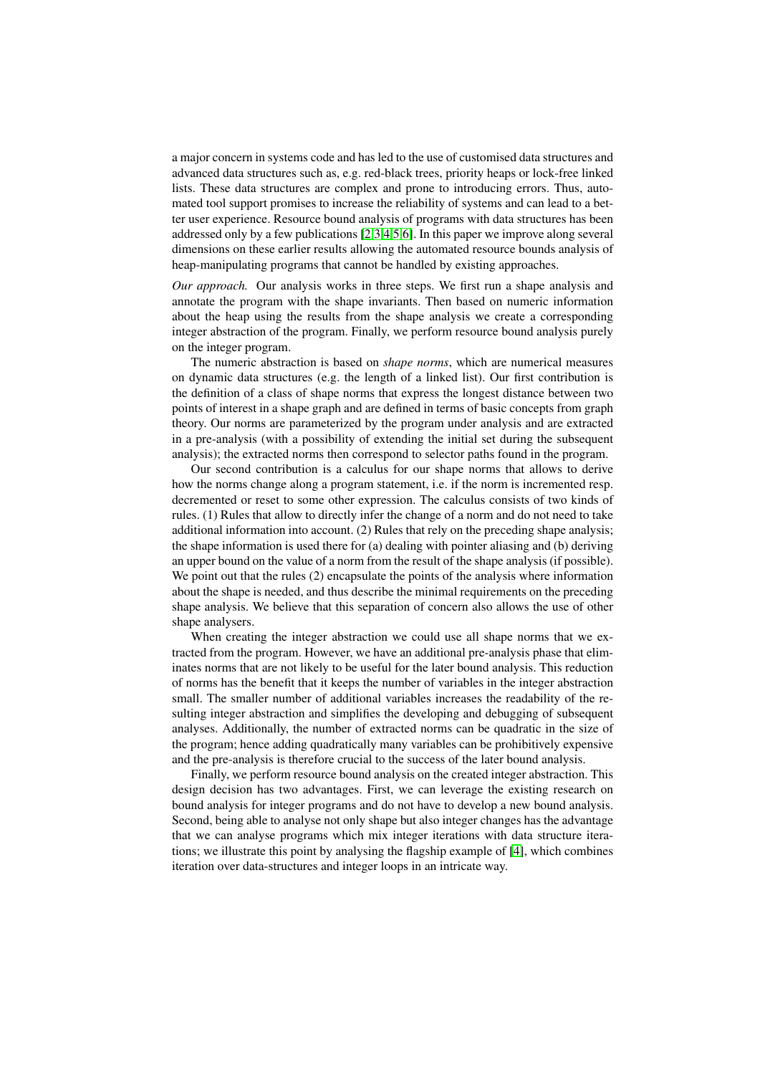a major concern in systems code and has led to the use of customised data structures and advanced data structures such as, e.g. red-black trees, priority heaps or lock-free linked lists. These data structures are complex and prone to introducing errors. Thus, automated tool support promises to increase the reliability of systems and can lead to a better user experience. Resource bound analysis of programs with data structures has been addressed only by a few publications [\[2,](#page-20-1)[3,](#page-20-2)[4,](#page-20-3)[5,](#page-20-4)[6\]](#page-20-5). In this paper we improve along several dimensions on these earlier results allowing the automated resource bounds analysis of heap-manipulating programs that cannot be handled by existing approaches.

*Our approach.* Our analysis works in three steps. We first run a shape analysis and annotate the program with the shape invariants. Then based on numeric information about the heap using the results from the shape analysis we create a corresponding integer abstraction of the program. Finally, we perform resource bound analysis purely on the integer program.

The numeric abstraction is based on *shape norms*, which are numerical measures on dynamic data structures (e.g. the length of a linked list). Our first contribution is the definition of a class of shape norms that express the longest distance between two points of interest in a shape graph and are defined in terms of basic concepts from graph theory. Our norms are parameterized by the program under analysis and are extracted in a pre-analysis (with a possibility of extending the initial set during the subsequent analysis); the extracted norms then correspond to selector paths found in the program.

Our second contribution is a calculus for our shape norms that allows to derive how the norms change along a program statement, i.e. if the norm is incremented resp. decremented or reset to some other expression. The calculus consists of two kinds of rules. (1) Rules that allow to directly infer the change of a norm and do not need to take additional information into account. (2) Rules that rely on the preceding shape analysis; the shape information is used there for (a) dealing with pointer aliasing and (b) deriving an upper bound on the value of a norm from the result of the shape analysis (if possible). We point out that the rules (2) encapsulate the points of the analysis where information about the shape is needed, and thus describe the minimal requirements on the preceding shape analysis. We believe that this separation of concern also allows the use of other shape analysers.

When creating the integer abstraction we could use all shape norms that we extracted from the program. However, we have an additional pre-analysis phase that eliminates norms that are not likely to be useful for the later bound analysis. This reduction of norms has the benefit that it keeps the number of variables in the integer abstraction small. The smaller number of additional variables increases the readability of the resulting integer abstraction and simplifies the developing and debugging of subsequent analyses. Additionally, the number of extracted norms can be quadratic in the size of the program; hence adding quadratically many variables can be prohibitively expensive and the pre-analysis is therefore crucial to the success of the later bound analysis.

Finally, we perform resource bound analysis on the created integer abstraction. This design decision has two advantages. First, we can leverage the existing research on bound analysis for integer programs and do not have to develop a new bound analysis. Second, being able to analyse not only shape but also integer changes has the advantage that we can analyse programs which mix integer iterations with data structure iterations; we illustrate this point by analysing the flagship example of [\[4\]](#page-20-3), which combines iteration over data-structures and integer loops in an intricate way.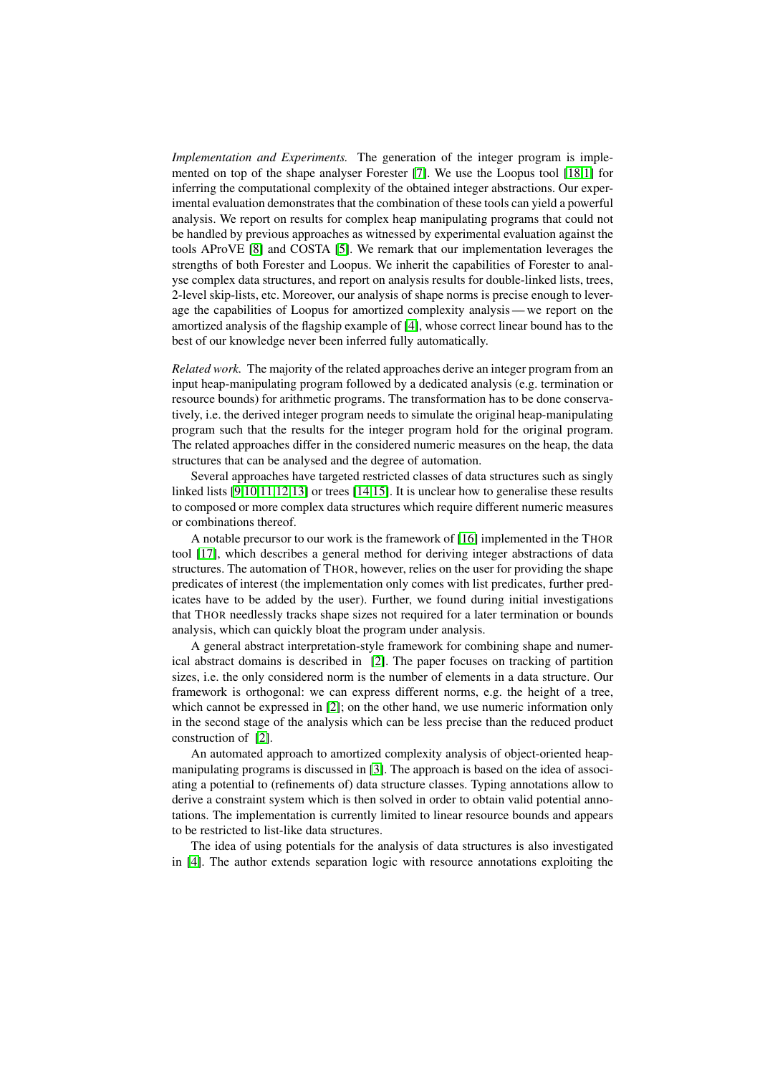*Implementation and Experiments.* The generation of the integer program is implemented on top of the shape analyser Forester [\[7\]](#page-20-6). We use the Loopus tool [\[18](#page-20-7)[,1\]](#page-20-0) for inferring the computational complexity of the obtained integer abstractions. Our experimental evaluation demonstrates that the combination of these tools can yield a powerful analysis. We report on results for complex heap manipulating programs that could not be handled by previous approaches as witnessed by experimental evaluation against the tools AProVE [\[8\]](#page-20-8) and COSTA [\[5\]](#page-20-4). We remark that our implementation leverages the strengths of both Forester and Loopus. We inherit the capabilities of Forester to analyse complex data structures, and report on analysis results for double-linked lists, trees, 2-level skip-lists, etc. Moreover, our analysis of shape norms is precise enough to leverage the capabilities of Loopus for amortized complexity analysis — we report on the amortized analysis of the flagship example of [\[4\]](#page-20-3), whose correct linear bound has to the best of our knowledge never been inferred fully automatically.

*Related work.* The majority of the related approaches derive an integer program from an input heap-manipulating program followed by a dedicated analysis (e.g. termination or resource bounds) for arithmetic programs. The transformation has to be done conservatively, i.e. the derived integer program needs to simulate the original heap-manipulating program such that the results for the integer program hold for the original program. The related approaches differ in the considered numeric measures on the heap, the data structures that can be analysed and the degree of automation.

Several approaches have targeted restricted classes of data structures such as singly linked lists [\[9,](#page-20-9)[10,](#page-20-10)[11,](#page-20-11)[12,](#page-20-12)[13\]](#page-20-13) or trees [\[14](#page-20-14)[,15\]](#page-20-15). It is unclear how to generalise these results to composed or more complex data structures which require different numeric measures or combinations thereof.

A notable precursor to our work is the framework of [\[16\]](#page-20-16) implemented in the THOR tool [\[17\]](#page-20-17), which describes a general method for deriving integer abstractions of data structures. The automation of THOR, however, relies on the user for providing the shape predicates of interest (the implementation only comes with list predicates, further predicates have to be added by the user). Further, we found during initial investigations that THOR needlessly tracks shape sizes not required for a later termination or bounds analysis, which can quickly bloat the program under analysis.

A general abstract interpretation-style framework for combining shape and numerical abstract domains is described in [\[2\]](#page-20-1). The paper focuses on tracking of partition sizes, i.e. the only considered norm is the number of elements in a data structure. Our framework is orthogonal: we can express different norms, e.g. the height of a tree, which cannot be expressed in [\[2\]](#page-20-1); on the other hand, we use numeric information only in the second stage of the analysis which can be less precise than the reduced product construction of [\[2\]](#page-20-1).

An automated approach to amortized complexity analysis of object-oriented heapmanipulating programs is discussed in [\[3\]](#page-20-2). The approach is based on the idea of associating a potential to (refinements of) data structure classes. Typing annotations allow to derive a constraint system which is then solved in order to obtain valid potential annotations. The implementation is currently limited to linear resource bounds and appears to be restricted to list-like data structures.

The idea of using potentials for the analysis of data structures is also investigated in [\[4\]](#page-20-3). The author extends separation logic with resource annotations exploiting the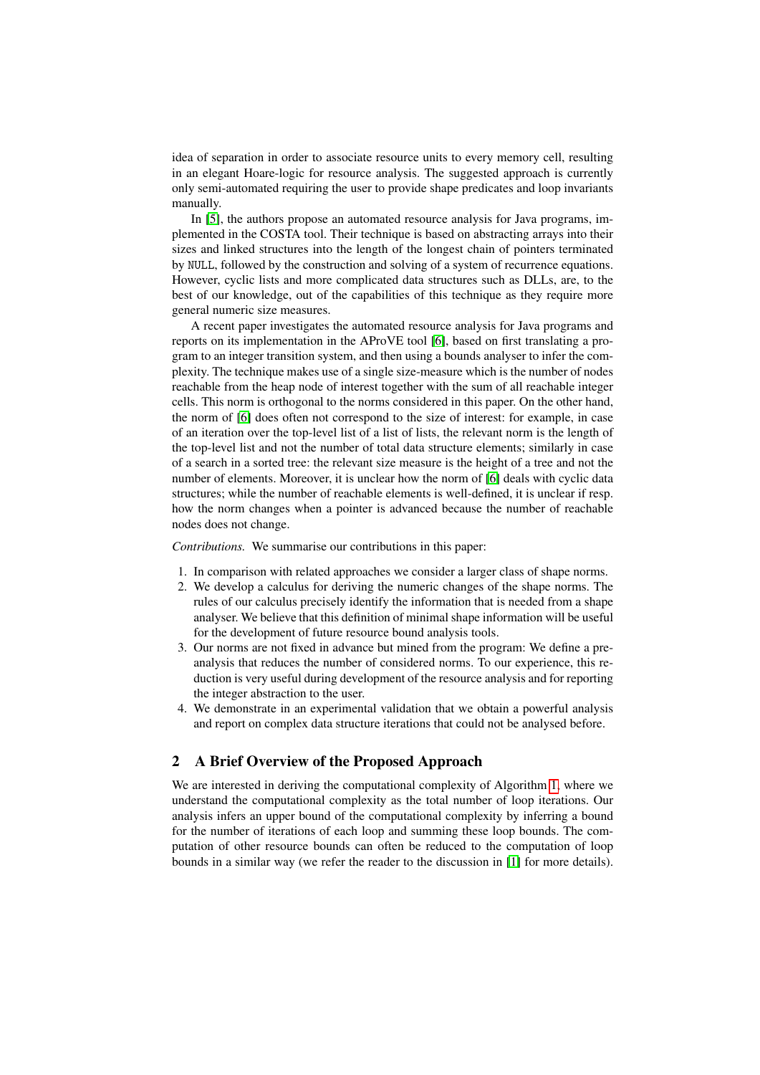idea of separation in order to associate resource units to every memory cell, resulting in an elegant Hoare-logic for resource analysis. The suggested approach is currently only semi-automated requiring the user to provide shape predicates and loop invariants manually.

In [\[5\]](#page-20-4), the authors propose an automated resource analysis for Java programs, implemented in the COSTA tool. Their technique is based on abstracting arrays into their sizes and linked structures into the length of the longest chain of pointers terminated by NULL, followed by the construction and solving of a system of recurrence equations. However, cyclic lists and more complicated data structures such as DLLs, are, to the best of our knowledge, out of the capabilities of this technique as they require more general numeric size measures.

A recent paper investigates the automated resource analysis for Java programs and reports on its implementation in the AProVE tool [\[6\]](#page-20-5), based on first translating a program to an integer transition system, and then using a bounds analyser to infer the complexity. The technique makes use of a single size-measure which is the number of nodes reachable from the heap node of interest together with the sum of all reachable integer cells. This norm is orthogonal to the norms considered in this paper. On the other hand, the norm of [\[6\]](#page-20-5) does often not correspond to the size of interest: for example, in case of an iteration over the top-level list of a list of lists, the relevant norm is the length of the top-level list and not the number of total data structure elements; similarly in case of a search in a sorted tree: the relevant size measure is the height of a tree and not the number of elements. Moreover, it is unclear how the norm of [\[6\]](#page-20-5) deals with cyclic data structures; while the number of reachable elements is well-defined, it is unclear if resp. how the norm changes when a pointer is advanced because the number of reachable nodes does not change.

*Contributions.* We summarise our contributions in this paper:

- 1. In comparison with related approaches we consider a larger class of shape norms.
- 2. We develop a calculus for deriving the numeric changes of the shape norms. The rules of our calculus precisely identify the information that is needed from a shape analyser. We believe that this definition of minimal shape information will be useful for the development of future resource bound analysis tools.
- 3. Our norms are not fixed in advance but mined from the program: We define a preanalysis that reduces the number of considered norms. To our experience, this reduction is very useful during development of the resource analysis and for reporting the integer abstraction to the user.
- 4. We demonstrate in an experimental validation that we obtain a powerful analysis and report on complex data structure iterations that could not be analysed before.

# <span id="page-3-0"></span>2 A Brief Overview of the Proposed Approach

We are interested in deriving the computational complexity of Algorithm [1,](#page-4-0) where we understand the computational complexity as the total number of loop iterations. Our analysis infers an upper bound of the computational complexity by inferring a bound for the number of iterations of each loop and summing these loop bounds. The computation of other resource bounds can often be reduced to the computation of loop bounds in a similar way (we refer the reader to the discussion in [\[1\]](#page-20-0) for more details).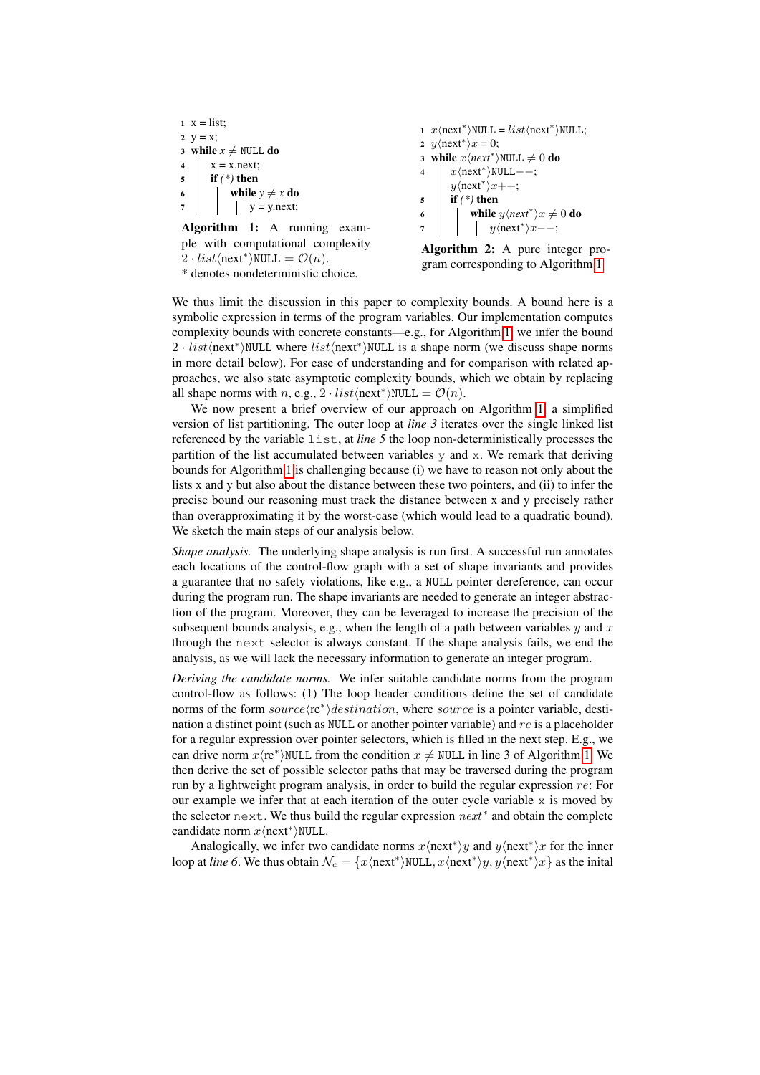```
1 \times = list;
2 y = x;
3 while x \neq 0 NULL do
4 x = x.next;
5 \quad if (*) then
6 while y \neq x do
7 \mid \cdot \cdot \cdot \cdot \cdot \cdot y = y.next;
```
<span id="page-4-0"></span>Algorithm 1: A running example with computational complexity  $2 \cdot list \langle next^* \rangle \text{NULL} = \mathcal{O}(n).$ 

\* denotes nondeterministic choice.

```
i x \langle next^* \rangleNULL = list \langle next^* \rangleNULL;
2 y\langle \text{next}^* \rangle x = 0;3 while x \langle next^* \rangleNULL \neq 0 do
4 \downarrow x \langle next^* \rangle \text{NULL} - ;
           y\langle \text{next}^*\rangle x++;
5 if (*) then
6 while y\langle next^*\rangle x \neq 0 do
7 | | y\langle \text{next}^* \rangle x−−;
```
<span id="page-4-1"></span>Algorithm 2: A pure integer program corresponding to Algorithm [1](#page-4-0)

We thus limit the discussion in this paper to complexity bounds. A bound here is a symbolic expression in terms of the program variables. Our implementation computes complexity bounds with concrete constants—e.g., for Algorithm [1,](#page-4-0) we infer the bound 2 · list (next\*)NULL where list (next\*)NULL is a shape norm (we discuss shape norms in more detail below). For ease of understanding and for comparison with related approaches, we also state asymptotic complexity bounds, which we obtain by replacing all shape norms with n, e.g.,  $2 \cdot list \langle next^* \rangle \text{NULL} = \mathcal{O}(n)$ .

We now present a brief overview of our approach on Algorithm [1,](#page-4-0) a simplified version of list partitioning. The outer loop at *line 3* iterates over the single linked list referenced by the variable list, at *line 5* the loop non-deterministically processes the partition of the list accumulated between variables  $y$  and  $x$ . We remark that deriving bounds for Algorithm [1](#page-4-0) is challenging because (i) we have to reason not only about the lists x and y but also about the distance between these two pointers, and (ii) to infer the precise bound our reasoning must track the distance between x and y precisely rather than overapproximating it by the worst-case (which would lead to a quadratic bound). We sketch the main steps of our analysis below.

*Shape analysis.* The underlying shape analysis is run first. A successful run annotates each locations of the control-flow graph with a set of shape invariants and provides a guarantee that no safety violations, like e.g., a NULL pointer dereference, can occur during the program run. The shape invariants are needed to generate an integer abstraction of the program. Moreover, they can be leveraged to increase the precision of the subsequent bounds analysis, e.g., when the length of a path between variables  $y$  and  $x$ through the next selector is always constant. If the shape analysis fails, we end the analysis, as we will lack the necessary information to generate an integer program.

*Deriving the candidate norms.* We infer suitable candidate norms from the program control-flow as follows: (1) The loop header conditions define the set of candidate norms of the form  $source\langle re^*\rangle destination$ , where source is a pointer variable, destination a distinct point (such as NULL or another pointer variable) and  $re$  is a placeholder for a regular expression over pointer selectors, which is filled in the next step. E.g., we can drive norm  $x$  $\langle re^* \rangle$ NULL from the condition  $x \neq$  NULL in line 3 of Algorithm [1.](#page-4-0) We then derive the set of possible selector paths that may be traversed during the program run by a lightweight program analysis, in order to build the regular expression  $re$ : For our example we infer that at each iteration of the outer cycle variable  $x$  is moved by the selector next. We thus build the regular expression next<sup>\*</sup> and obtain the complete candidate norm  $x$  $\langle$ next<sup>∗</sup> $\rangle$ NULL.

Analogically, we infer two candidate norms  $x \langle \text{next*}\rangle y$  and  $y \langle \text{next*}\rangle x$  for the inner loop at *line* 6. We thus obtain  $\mathcal{N}_c = \{x \langle \text{next}^* \rangle \text{NULL}, x \langle \text{next}^* \rangle y, y \langle \text{next}^* \rangle x\}$  as the inital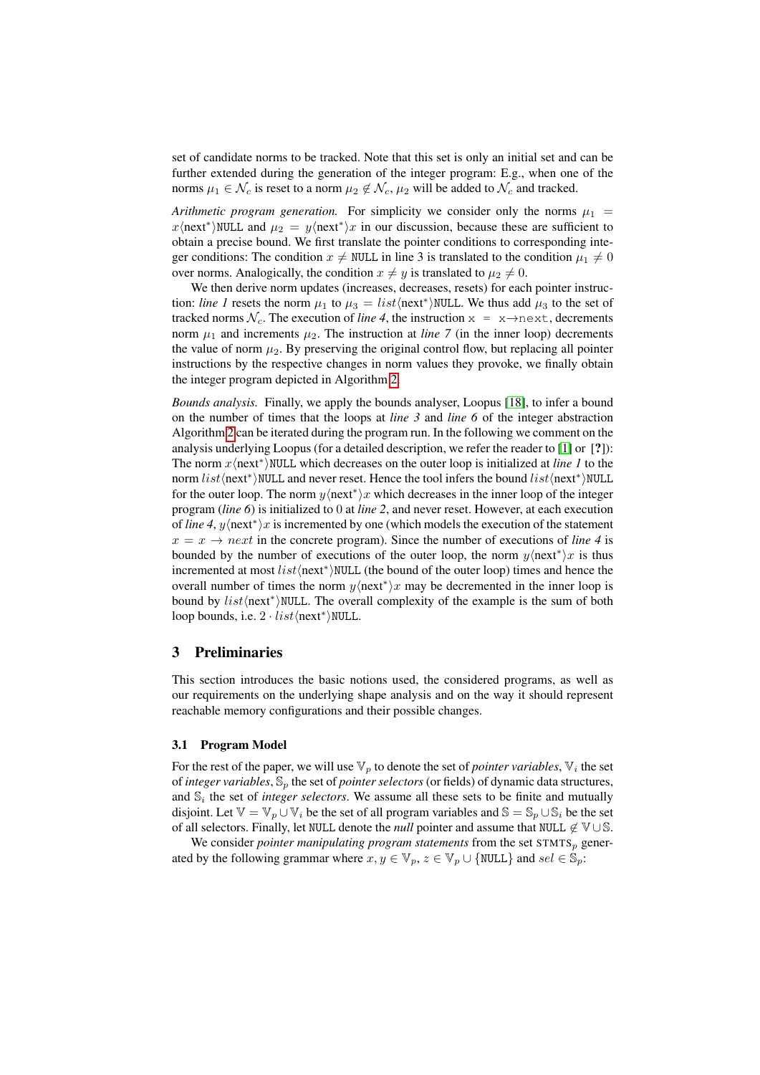set of candidate norms to be tracked. Note that this set is only an initial set and can be further extended during the generation of the integer program: E.g., when one of the norms  $\mu_1 \in \mathcal{N}_c$  is reset to a norm  $\mu_2 \notin \mathcal{N}_c$ ,  $\mu_2$  will be added to  $\mathcal{N}_c$  and tracked.

*Arithmetic program generation.* For simplicity we consider only the norms  $\mu_1$  =  $x$  $\langle$ next<sup>∗</sup> $\rangle$ NULL and  $\mu_2 = y$  $\langle$ next<sup>∗</sup> $\rangle x$  in our discussion, because these are sufficient to obtain a precise bound. We first translate the pointer conditions to corresponding integer conditions: The condition  $x \neq \text{NULL}$  in line 3 is translated to the condition  $\mu_1 \neq 0$ over norms. Analogically, the condition  $x \neq y$  is translated to  $\mu_2 \neq 0$ .

We then derive norm updates (increases, decreases, resets) for each pointer instruction: *line 1* resets the norm  $\mu_1$  to  $\mu_3 = list \langle next^* \rangle$  NULL. We thus add  $\mu_3$  to the set of tracked norms  $\mathcal{N}_c$ . The execution of *line 4*, the instruction  $x = x \rightarrow n \infty$ , decrements norm  $\mu_1$  and increments  $\mu_2$ . The instruction at *line* 7 (in the inner loop) decrements the value of norm  $\mu_2$ . By preserving the original control flow, but replacing all pointer instructions by the respective changes in norm values they provoke, we finally obtain the integer program depicted in Algorithm [2.](#page-4-1)

*Bounds analysis.* Finally, we apply the bounds analyser, Loopus [\[18\]](#page-20-7), to infer a bound on the number of times that the loops at *line 3* and *line 6* of the integer abstraction Algorithm [2](#page-4-1) can be iterated during the program run. In the following we comment on the analysis underlying Loopus (for a detailed description, we refer the reader to [\[1\]](#page-20-0) or [?]): The norm x/next<sup>∗</sup>)NULL which decreases on the outer loop is initialized at *line 1* to the norm list $\langle$ next<sup>∗</sup> $\rangle$ NULL and never reset. Hence the tool infers the bound list $\langle$ next<sup>∗</sup> $\rangle$ NULL for the outer loop. The norm  $y\langle \text{next}^* \rangle x$  which decreases in the inner loop of the integer program (*line 6*) is initialized to 0 at *line 2*, and never reset. However, at each execution of *line* 4,  $y \langle \text{next}^* \rangle x$  is incremented by one (which models the execution of the statement  $x = x \rightarrow next$  in the concrete program). Since the number of executions of *line* 4 is bounded by the number of executions of the outer loop, the norm  $y$  $\langle$ next<sup>\*</sup> $\rangle x$  is thus incremented at most  $list \langle next^* \rangle$  NULL (the bound of the outer loop) times and hence the overall number of times the norm  $y\langle \text{next}^* \rangle x$  may be decremented in the inner loop is bound by  $list \langle next^* \rangle$ NULL. The overall complexity of the example is the sum of both loop bounds, i.e.  $2 \cdot list \langle next^* \rangle$ NULL.

# 3 Preliminaries

This section introduces the basic notions used, the considered programs, as well as our requirements on the underlying shape analysis and on the way it should represent reachable memory configurations and their possible changes.

#### <span id="page-5-0"></span>3.1 Program Model

For the rest of the paper, we will use  $\mathbb{V}_p$  to denote the set of *pointer variables*,  $\mathbb{V}_i$  the set of *integer variables*,  $\mathcal{S}_p$  the set of *pointer selectors* (or fields) of dynamic data structures, and  $\mathbb{S}_i$  the set of *integer selectors*. We assume all these sets to be finite and mutually disjoint. Let  $\mathbb{V} = \mathbb{V}_p \cup \mathbb{V}_i$  be the set of all program variables and  $\mathbb{S} = \mathbb{S}_p \cup \mathbb{S}_i$  be the set of all selectors. Finally, let NULL denote the *null* pointer and assume that NULL  $\notin$  V ∪ S.

We consider *pointer manipulating program statements* from the set  $STMTS_p$  generated by the following grammar where  $x, y \in \mathbb{V}_p$ ,  $z \in \mathbb{V}_p \cup \{NULL\}$  and  $sel \in \mathbb{S}_p$ :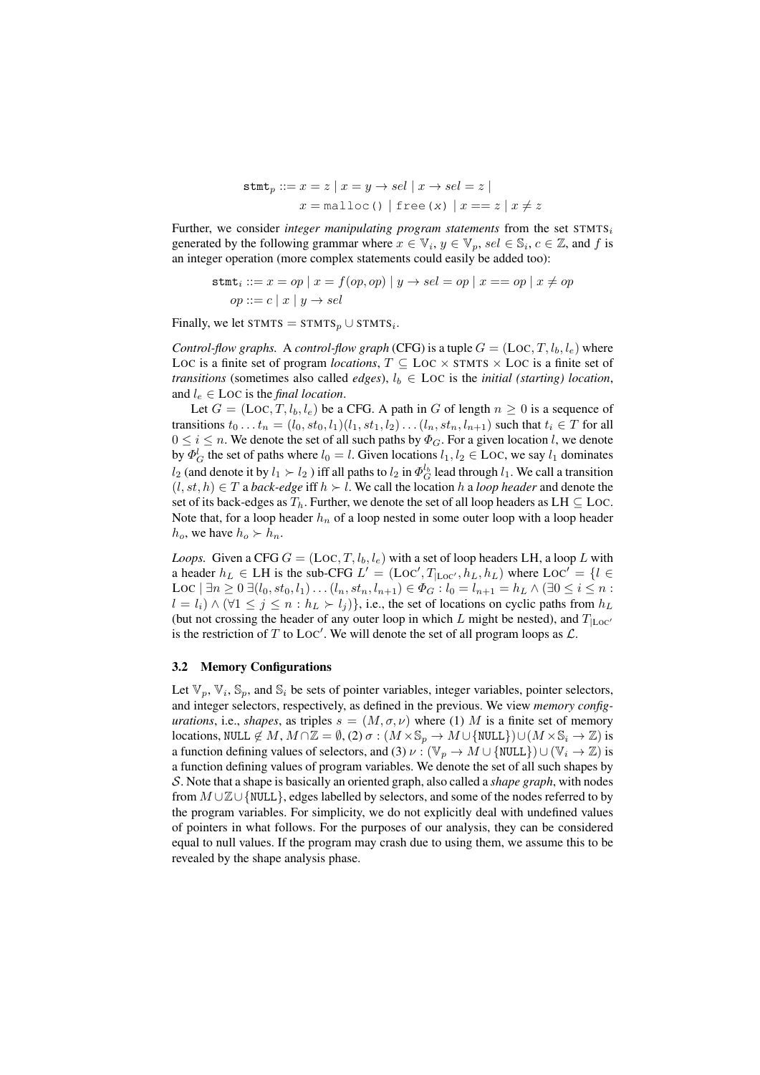$$
\begin{aligned} \texttt{stmt}_p &::= x = z \mid x = y \rightarrow sel \mid x \rightarrow sel = z \mid \\ &x = \text{malloc}() \mid \text{free} (x) \mid x == z \mid x \neq z \end{aligned}
$$

Further, we consider *integer manipulating program statements* from the set STMTS<sub>i</sub> generated by the following grammar where  $x \in \mathbb{V}_i$ ,  $y \in \mathbb{V}_p$ ,  $sel \in \mathbb{S}_i$ ,  $c \in \mathbb{Z}$ , and f is an integer operation (more complex statements could easily be added too):

$$
\texttt{stmt}_i ::= x = op \mid x = f(op, op) \mid y \to sel = op \mid x == op \mid x \neq op
$$
\n
$$
op ::= c \mid x \mid y \to sel
$$

Finally, we let STMTS =  $STMTS_p \cup STMTS_i$ .

*Control-flow graphs.* A *control-flow graph* (CFG) is a tuple  $G = (Loc, T, l_b, l_e)$  where LOC is a finite set of program *locations*,  $T \subseteq$  LOC  $\times$  STMTS  $\times$  LOC is a finite set of *transitions* (sometimes also called *edges*),  $l_b \in$  Loc is the *initial (starting) location*, and  $l_e \in \text{LOC}$  is the *final location*.

Let  $G = (Loc, T, l_b, l_e)$  be a CFG. A path in G of length  $n \geq 0$  is a sequence of transitions  $t_0 ... t_n = (l_0, st_0, l_1)(l_1, st_1, l_2)...(l_n, st_n, l_{n+1})$  such that  $t_i \in T$  for all  $0 \le i \le n$ . We denote the set of all such paths by  $\Phi_G$ . For a given location l, we denote by  $\Phi_G^l$  the set of paths where  $l_0 = l$ . Given locations  $l_1, l_2 \in$  LOC, we say  $l_1$  dominates  $l_2$  (and denote it by  $l_1 \succ l_2$  ) iff all paths to  $l_2$  in  $\Phi_G^{l_b}$  lead through  $l_1$ . We call a transition  $(l, st, h) \in T$  a *back-edge* iff  $h \succ l$ . We call the location h a *loop header* and denote the set of its back-edges as  $T_h$ . Further, we denote the set of all loop headers as LH  $\subseteq$  LOC. Note that, for a loop header  $h_n$  of a loop nested in some outer loop with a loop header  $h_o$ , we have  $h_o \succ h_n$ .

*Loops.* Given a CFG  $G = (Loc, T, l_b, l_e)$  with a set of loop headers LH, a loop L with a header  $h_L \in LH$  is the sub-CFG  $L' = (Loc', T_{[Loc'}, h_L, h_L))$  where  $Loc' = \{l \in$ LOC  $|\exists n \geq 0 \ \exists (l_0, st_0, l_1) \dots (l_n, st_n, l_{n+1}) \in \Phi_G : l_0 = l_{n+1} = h_L \wedge (\exists 0 \leq i \leq n :$  $l = l_i$ ) ∧ ( $\forall 1 \leq j \leq n : h_L \succ l_j$ ), i.e., the set of locations on cyclic paths from  $h_L$ (but not crossing the header of any outer loop in which L might be nested), and  $T_{[Loc]}$ is the restriction of T to Loc'. We will denote the set of all program loops as  $\mathcal{L}$ .

### 3.2 Memory Configurations

Let  $\mathbb{V}_p$ ,  $\mathbb{V}_i$ ,  $\mathbb{S}_p$ , and  $\mathbb{S}_i$  be sets of pointer variables, integer variables, pointer selectors, and integer selectors, respectively, as defined in the previous. We view *memory configurations*, i.e., *shapes*, as triples  $s = (M, \sigma, \nu)$  where (1) M is a finite set of memory locations, NULL  $\notin M$ ,  $M \cap \mathbb{Z} = \emptyset$ ,  $(2)$   $\sigma$  :  $(M \times \mathbb{S}_p \to M \cup {\text{NULL}}) \cup (M \times \mathbb{S}_i \to \mathbb{Z})$  is a function defining values of selectors, and (3)  $v : (\mathbb{V}_p \to M \cup \{NULL\}) \cup (\mathbb{V}_i \to \mathbb{Z})$  is a function defining values of program variables. We denote the set of all such shapes by S. Note that a shape is basically an oriented graph, also called a *shape graph*, with nodes from  $M \cup \mathbb{Z} \cup \{NULL\}$ , edges labelled by selectors, and some of the nodes referred to by the program variables. For simplicity, we do not explicitly deal with undefined values of pointers in what follows. For the purposes of our analysis, they can be considered equal to null values. If the program may crash due to using them, we assume this to be revealed by the shape analysis phase.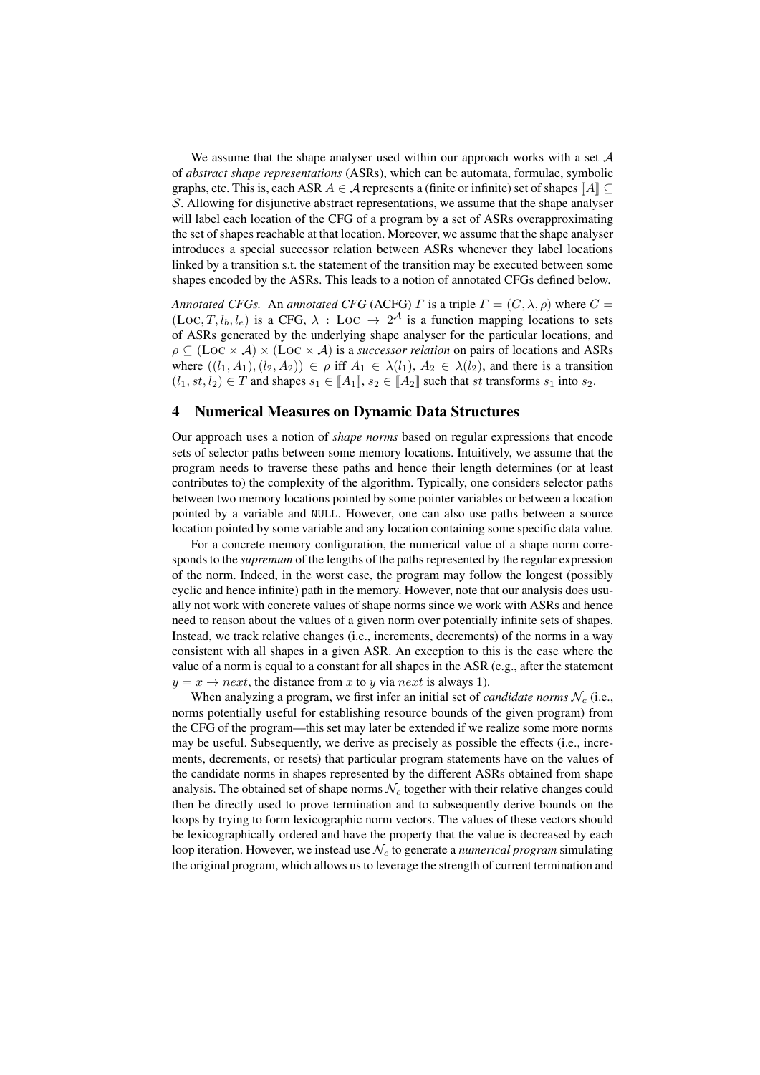We assume that the shape analyser used within our approach works with a set  $A$ of *abstract shape representations* (ASRs), which can be automata, formulae, symbolic graphs, etc. This is, each ASR  $A \in \mathcal{A}$  represents a (finite or infinite) set of shapes  $\llbracket A \rrbracket \subseteq$  $S$ . Allowing for disjunctive abstract representations, we assume that the shape analyser will label each location of the CFG of a program by a set of ASRs overapproximating the set of shapes reachable at that location. Moreover, we assume that the shape analyser introduces a special successor relation between ASRs whenever they label locations linked by a transition s.t. the statement of the transition may be executed between some shapes encoded by the ASRs. This leads to a notion of annotated CFGs defined below.

*Annotated CFGs.* An *annotated CFG* (ACFG)  $\Gamma$  is a triple  $\Gamma = (G, \lambda, \rho)$  where  $G =$  $(Loc, T, l_b, l_e)$  is a CFG,  $\lambda : Loc \rightarrow 2^{\mathcal{A}}$  is a function mapping locations to sets of ASRs generated by the underlying shape analyser for the particular locations, and  $\rho \subset (Loc \times \mathcal{A}) \times (Loc \times \mathcal{A})$  is a *successor relation* on pairs of locations and ASRs where  $((l_1, A_1), (l_2, A_2)) \in \rho$  iff  $A_1 \in \lambda(l_1), A_2 \in \lambda(l_2)$ , and there is a transition  $(l_1, st, l_2) \in T$  and shapes  $s_1 \in [A_1], s_2 \in [A_2]$  such that st transforms  $s_1$  into  $s_2$ .

# 4 Numerical Measures on Dynamic Data Structures

Our approach uses a notion of *shape norms* based on regular expressions that encode sets of selector paths between some memory locations. Intuitively, we assume that the program needs to traverse these paths and hence their length determines (or at least contributes to) the complexity of the algorithm. Typically, one considers selector paths between two memory locations pointed by some pointer variables or between a location pointed by a variable and NULL. However, one can also use paths between a source location pointed by some variable and any location containing some specific data value.

For a concrete memory configuration, the numerical value of a shape norm corresponds to the *supremum* of the lengths of the paths represented by the regular expression of the norm. Indeed, in the worst case, the program may follow the longest (possibly cyclic and hence infinite) path in the memory. However, note that our analysis does usually not work with concrete values of shape norms since we work with ASRs and hence need to reason about the values of a given norm over potentially infinite sets of shapes. Instead, we track relative changes (i.e., increments, decrements) of the norms in a way consistent with all shapes in a given ASR. An exception to this is the case where the value of a norm is equal to a constant for all shapes in the ASR (e.g., after the statement  $y = x \rightarrow next$ , the distance from x to y via next is always 1).

When analyzing a program, we first infer an initial set of *candidate norms*  $N_c$  (i.e., norms potentially useful for establishing resource bounds of the given program) from the CFG of the program—this set may later be extended if we realize some more norms may be useful. Subsequently, we derive as precisely as possible the effects (i.e., increments, decrements, or resets) that particular program statements have on the values of the candidate norms in shapes represented by the different ASRs obtained from shape analysis. The obtained set of shape norms  $\mathcal{N}_c$  together with their relative changes could then be directly used to prove termination and to subsequently derive bounds on the loops by trying to form lexicographic norm vectors. The values of these vectors should be lexicographically ordered and have the property that the value is decreased by each loop iteration. However, we instead use  $\mathcal{N}_c$  to generate a *numerical program* simulating the original program, which allows us to leverage the strength of current termination and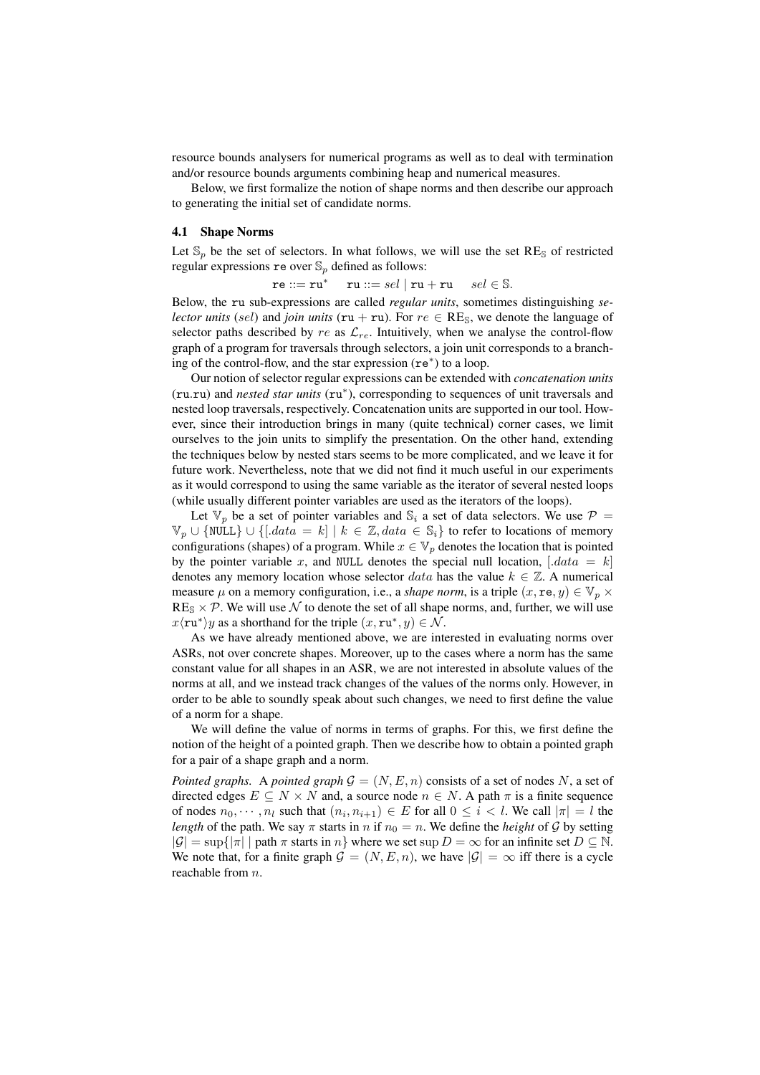resource bounds analysers for numerical programs as well as to deal with termination and/or resource bounds arguments combining heap and numerical measures.

Below, we first formalize the notion of shape norms and then describe our approach to generating the initial set of candidate norms.

#### 4.1 Shape Norms

Let  $\mathbb{S}_p$  be the set of selectors. In what follows, we will use the set RE<sub>S</sub> of restricted regular expressions re over  $\mathbb{S}_p$  defined as follows:

> $re ::= ru^*$  $ru ::= sel | ru + ru \text{ } sel \in \mathbb{S}.$

Below, the ru sub-expressions are called *regular units*, sometimes distinguishing *selector units* (sel) and *join units* ( $ru + ru$ ). For  $re \in \text{RE}_{\mathbb{S}}$ , we denote the language of selector paths described by re as  $\mathcal{L}_{re}$ . Intuitively, when we analyse the control-flow graph of a program for traversals through selectors, a join unit corresponds to a branching of the control-flow, and the star expression (re<sup>∗</sup> ) to a loop.

Our notion of selector regular expressions can be extended with *concatenation units* (ru.ru) and *nested star units* (ru<sup>∗</sup> ), corresponding to sequences of unit traversals and nested loop traversals, respectively. Concatenation units are supported in our tool. However, since their introduction brings in many (quite technical) corner cases, we limit ourselves to the join units to simplify the presentation. On the other hand, extending the techniques below by nested stars seems to be more complicated, and we leave it for future work. Nevertheless, note that we did not find it much useful in our experiments as it would correspond to using the same variable as the iterator of several nested loops (while usually different pointer variables are used as the iterators of the loops).

Let  $\mathbb{V}_p$  be a set of pointer variables and  $\mathbb{S}_i$  a set of data selectors. We use  $\mathcal{P} =$  $\mathbb{V}_p \cup \{\text{NULL}\} \cup \{\text{[data = k]} \mid k \in \mathbb{Z}, data \in \mathbb{S}_i\}$  to refer to locations of memory configurations (shapes) of a program. While  $x \in V_p$  denotes the location that is pointed by the pointer variable x, and NULL denotes the special null location,  $[data = k]$ denotes any memory location whose selector  $data$  has the value  $k \in \mathbb{Z}$ . A numerical measure  $\mu$  on a memory configuration, i.e., a *shape norm*, is a triple  $(x, \text{re}, y) \in V_p \times$  $RE_{\mathcal{S}} \times \mathcal{P}$ . We will use N to denote the set of all shape norms, and, further, we will use  $x\langle \text{ru*}\rangle y$  as a shorthand for the triple  $(x, \text{ru*}, y) \in \mathcal{N}$ .

As we have already mentioned above, we are interested in evaluating norms over ASRs, not over concrete shapes. Moreover, up to the cases where a norm has the same constant value for all shapes in an ASR, we are not interested in absolute values of the norms at all, and we instead track changes of the values of the norms only. However, in order to be able to soundly speak about such changes, we need to first define the value of a norm for a shape.

We will define the value of norms in terms of graphs. For this, we first define the notion of the height of a pointed graph. Then we describe how to obtain a pointed graph for a pair of a shape graph and a norm.

*Pointed graphs.* A *pointed graph*  $G = (N, E, n)$  consists of a set of nodes N, a set of directed edges  $E \subseteq N \times N$  and, a source node  $n \in N$ . A path  $\pi$  is a finite sequence of nodes  $n_0, \dots, n_l$  such that  $(n_i, n_{i+1}) \in E$  for all  $0 \le i < l$ . We call  $|\pi| = l$  the *length* of the path. We say  $\pi$  starts in n if  $n_0 = n$ . We define the *height* of G by setting  $|\mathcal{G}| = \sup\{|\pi| \mid \text{path } \pi \text{ starts in } n\}$  where we set sup  $D = \infty$  for an infinite set  $D \subseteq \mathbb{N}$ . We note that, for a finite graph  $G = (N, E, n)$ , we have  $|G| = \infty$  iff there is a cycle reachable from  $n$ .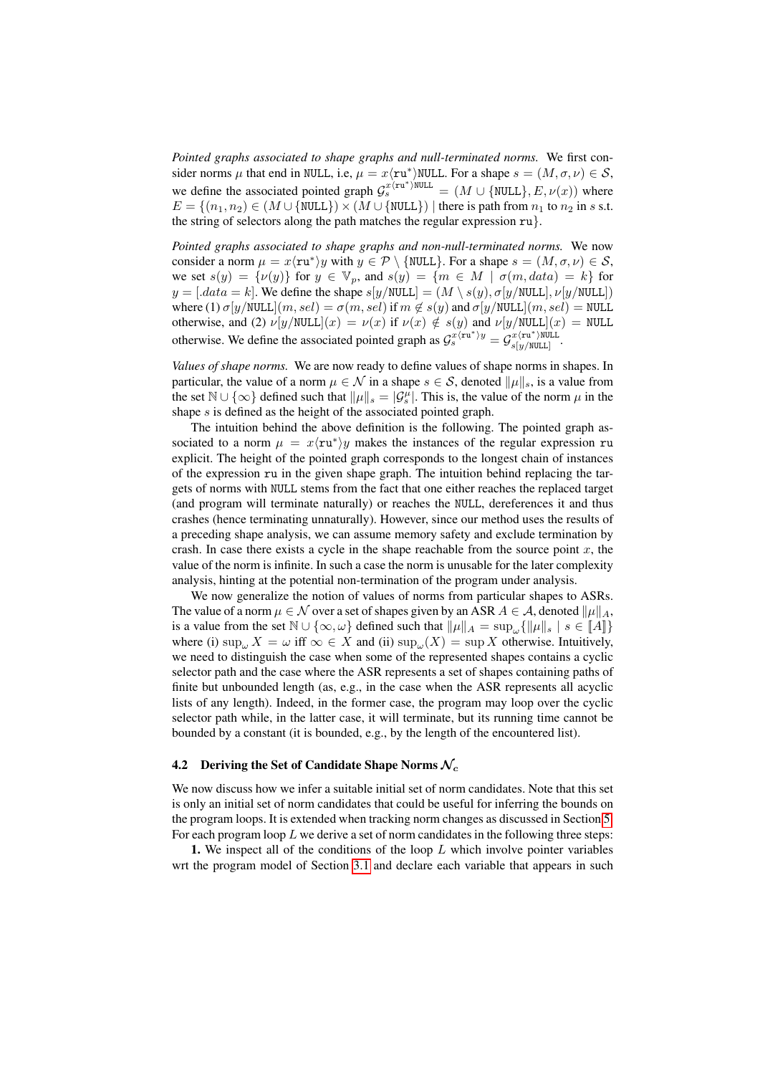*Pointed graphs associated to shape graphs and null-terminated norms.* We first consider norms  $\mu$  that end in NULL, i.e,  $\mu = x \langle \text{ru*} \rangle$ NULL. For a shape  $s = (M, \sigma, \nu) \in \mathcal{S}$ , we define the associated pointed graph  $\mathcal{G}_s^{x'(\text{ru*})\text{NULL}} = (M \cup \{\text{NULL}\}, E, \nu(x))$  where  $E = \{(n_1, n_2) \in (M \cup \{NULL\}) \times (M \cup \{NULL\}) \mid \text{there is path from } n_1 \text{ to } n_2 \text{ in } s \text{ s.t.}\}$ the string of selectors along the path matches the regular expression ru}.

*Pointed graphs associated to shape graphs and non-null-terminated norms.* We now consider a norm  $\mu = x \langle \text{ru}^* \rangle y$  with  $y \in \mathcal{P} \setminus \{ \text{NULL} \}$ . For a shape  $s = (M, \sigma, \nu) \in \mathcal{S}$ , we set  $s(y) = \{v(y)\}\$ for  $y \in V_p$ , and  $s(y) = \{m \in M \mid \sigma(m, data) = k\}$  for  $y = [data = k]$ . We define the shape  $s[y/NULL] = (M \setminus s(y), \sigma[y/NULL], \nu[y/NULL])$ where (1)  $\sigma[y/NULL](m, sel) = \sigma(m, sel)$  if  $m \notin s(y)$  and  $\sigma[y/NULL](m, sel) = \text{NULL}$ otherwise, and (2)  $\nu[y/NULL](x) = \nu(x)$  if  $\nu(x) \notin s(y)$  and  $\nu[y/NULL](x) = NULL$ otherwise. We define the associated pointed graph as  $\mathcal{G}_s^{\mathcal{X}(\text{ru}^*)y} = \mathcal{G}_{s[y]/\text{NUL}}^{\mathcal{X}(\text{ru}^*)\text{NUL}}$  $s[y/NULL]$ 

*Values of shape norms.* We are now ready to define values of shape norms in shapes. In particular, the value of a norm  $\mu \in \mathcal{N}$  in a shape  $s \in \mathcal{S}$ , denoted  $\|\mu\|_{s}$ , is a value from the set  $\mathbb{N} \cup \{\infty\}$  defined such that  $\|\mu\|_{s} = |\mathcal{G}_{s}^{\mu}|$ . This is, the value of the norm  $\mu$  in the shape s is defined as the height of the associated pointed graph.

The intuition behind the above definition is the following. The pointed graph associated to a norm  $\mu = x \langle \text{ru*} \rangle y$  makes the instances of the regular expression ru explicit. The height of the pointed graph corresponds to the longest chain of instances of the expression ru in the given shape graph. The intuition behind replacing the targets of norms with NULL stems from the fact that one either reaches the replaced target (and program will terminate naturally) or reaches the NULL, dereferences it and thus crashes (hence terminating unnaturally). However, since our method uses the results of a preceding shape analysis, we can assume memory safety and exclude termination by crash. In case there exists a cycle in the shape reachable from the source point  $x$ , the value of the norm is infinite. In such a case the norm is unusable for the later complexity analysis, hinting at the potential non-termination of the program under analysis.

We now generalize the notion of values of norms from particular shapes to ASRs. The value of a norm  $\mu \in \mathcal{N}$  over a set of shapes given by an ASR  $A \in \mathcal{A}$ , denoted  $\|\mu\|_A$ , is a value from the set  $\mathbb{N} \cup \{\infty, \omega\}$  defined such that  $\|\mu\|_A = \sup_{\omega} \{\|\mu\|_s \mid s \in [A]\}$ where (i)  $\sup_{\omega} X = \omega$  iff  $\infty \in X$  and (ii)  $\sup_{\omega} (X) = \sup X$  otherwise. Intuitively, we need to distinguish the case when some of the represented shapes contains a cyclic selector path and the case where the ASR represents a set of shapes containing paths of finite but unbounded length (as, e.g., in the case when the ASR represents all acyclic lists of any length). Indeed, in the former case, the program may loop over the cyclic selector path while, in the latter case, it will terminate, but its running time cannot be bounded by a constant (it is bounded, e.g., by the length of the encountered list).

#### 4.2 Deriving the Set of Candidate Shape Norms  $\mathcal{N}_c$

We now discuss how we infer a suitable initial set of norm candidates. Note that this set is only an initial set of norm candidates that could be useful for inferring the bounds on the program loops. It is extended when tracking norm changes as discussed in Section [5.](#page-10-0) For each program loop  $L$  we derive a set of norm candidates in the following three steps:

1. We inspect all of the conditions of the loop  $L$  which involve pointer variables wrt the program model of Section [3.1](#page-5-0) and declare each variable that appears in such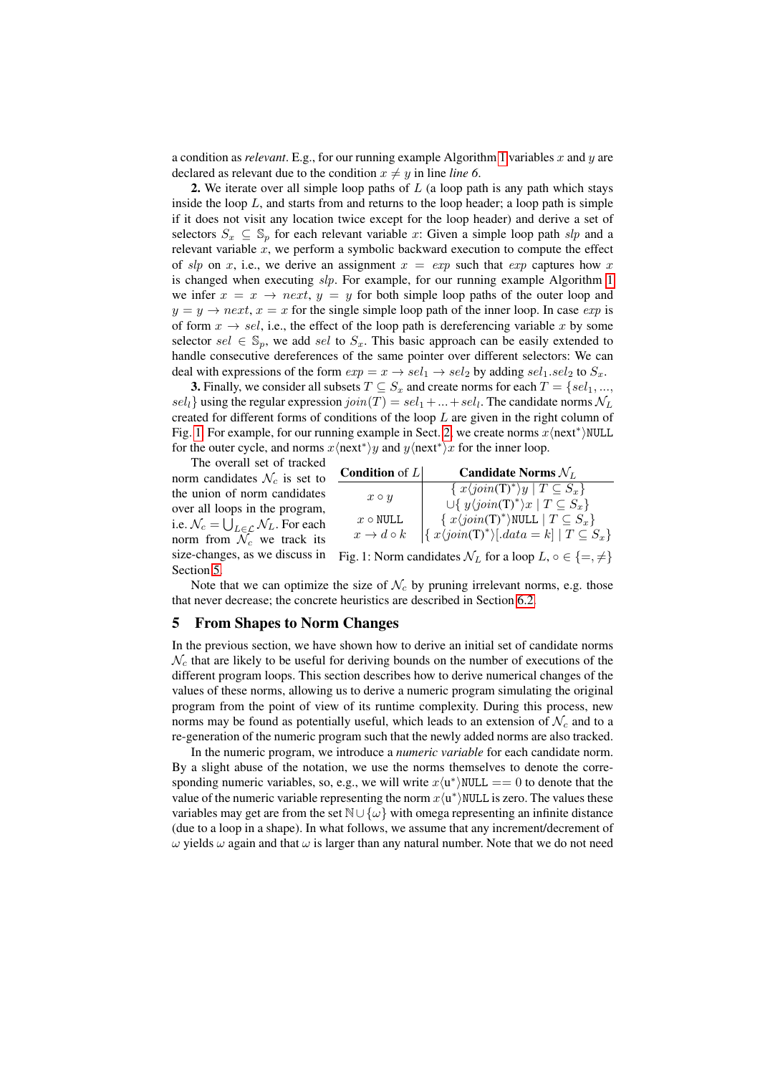a condition as *relevant*. E.g., for our running example Algorithm [1](#page-4-0) variables x and y are declared as relevant due to the condition  $x \neq y$  in line *line 6*.

2. We iterate over all simple loop paths of  $L$  (a loop path is any path which stays inside the loop  $L$ , and starts from and returns to the loop header; a loop path is simple if it does not visit any location twice except for the loop header) and derive a set of selectors  $S_x \subseteq \mathbb{S}_p$  for each relevant variable x: Given a simple loop path slp and a relevant variable  $x$ , we perform a symbolic backward execution to compute the effect of slp on x, i.e., we derive an assignment  $x = exp$  such that exp captures how x is changed when executing slp. For example, for our running example Algorithm [1](#page-4-0) we infer  $x = x \rightarrow next, y = y$  for both simple loop paths of the outer loop and  $y = y \rightarrow next$ ,  $x = x$  for the single simple loop path of the inner loop. In case exp is of form  $x \to \text{sel}$ , i.e., the effect of the loop path is dereferencing variable x by some selector sel  $\in \mathbb{S}_p$ , we add sel to  $S_x$ . This basic approach can be easily extended to handle consecutive dereferences of the same pointer over different selectors: We can deal with expressions of the form  $exp = x \rightarrow sel_1 \rightarrow sel_2$  by adding  $sel_1.sel_2$  to  $S_x$ .

**3.** Finally, we consider all subsets  $T \subseteq S_x$  and create norms for each  $T = \{sel_1, ...,$  $\{sel_l\}$  using the regular expression  $join(T) = sel_1 + ... + sel_l$ . The candidate norms  $\mathcal{N}_L$ created for different forms of conditions of the loop  $L$  are given in the right column of Fig. [1.](#page-10-1) For example, for our running example in Sect. [2,](#page-3-0) we create norms  $x$  $\langle$ next $^*$  $\rangle$ NULL for the outer cycle, and norms  $x \langle \text{next}^* \rangle y$  and  $y \langle \text{next}^* \rangle x$  for the inner loop.

The overall set of tracked norm candidates  $\mathcal{N}_c$  is set to the union of norm candidates over all loops in the program, i.e.  $\mathcal{N}_c = \bigcup_{L \in \mathcal{L}} \mathcal{N}_L$ . For each norm from  $\mathcal{N}_c$  we track its size-changes, as we discuss in Section [5.](#page-10-0)

<span id="page-10-1"></span>

| <b>Condition</b> of $L$ | Candidate Norms $N_L$                                                                      |
|-------------------------|--------------------------------------------------------------------------------------------|
| $x \circ y$             | $\{x\langle \text{join}(\mathbf{T})^*\rangle \}$ $\mid T \subseteq S_x\}$                  |
|                         | $\bigcup \{ y\langle \text{join}(\mathbf{T})^* \rangle x \mid T \subseteq S_x \}$          |
| $x \circ \texttt{NULL}$ | $\{x\langle \text{join}(\mathbf{T})^*\rangle \text{NULL} \mid T \subseteq S_x\}$           |
| $x \to d \circ k$       | $\left \left\{x\langle join(T)^*\rangle\right[. data = k\right]   T \subseteq S_x\right\}$ |
|                         | Fig. 1: Norm candidates $\mathcal{N}_L$ for a loop $L, \circ \in \{ =, \neq \}$            |

Note that we can optimize the size of  $\mathcal{N}_c$  by pruning irrelevant norms, e.g. those that never decrease; the concrete heuristics are described in Section [6.2.](#page-17-0)

#### <span id="page-10-0"></span>5 From Shapes to Norm Changes

In the previous section, we have shown how to derive an initial set of candidate norms  $\mathcal{N}_c$  that are likely to be useful for deriving bounds on the number of executions of the different program loops. This section describes how to derive numerical changes of the values of these norms, allowing us to derive a numeric program simulating the original program from the point of view of its runtime complexity. During this process, new norms may be found as potentially useful, which leads to an extension of  $\mathcal{N}_c$  and to a re-generation of the numeric program such that the newly added norms are also tracked.

In the numeric program, we introduce a *numeric variable* for each candidate norm. By a slight abuse of the notation, we use the norms themselves to denote the corresponding numeric variables, so, e.g., we will write  $x \langle u^* \rangle$  NULL == 0 to denote that the value of the numeric variable representing the norm  $x\langle u^* \rangle$  NULL is zero. The values these variables may get are from the set  $\mathbb{N}\cup\{\omega\}$  with omega representing an infinite distance (due to a loop in a shape). In what follows, we assume that any increment/decrement of  $\omega$  yields  $\omega$  again and that  $\omega$  is larger than any natural number. Note that we do not need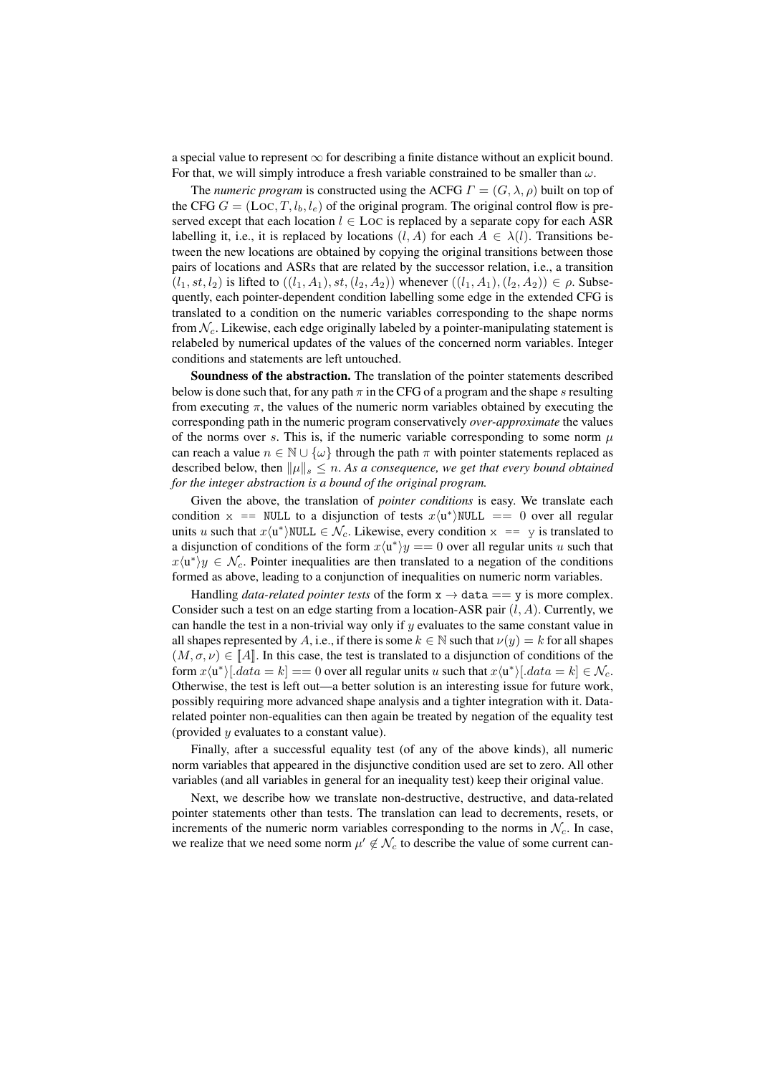a special value to represent  $\infty$  for describing a finite distance without an explicit bound. For that, we will simply introduce a fresh variable constrained to be smaller than  $\omega$ .

The *numeric program* is constructed using the ACFG  $\Gamma = (G, \lambda, \rho)$  built on top of the CFG  $G = (Loc, T, l_b, l_e)$  of the original program. The original control flow is preserved except that each location  $l \in LOC$  is replaced by a separate copy for each ASR labelling it, i.e., it is replaced by locations  $(l, A)$  for each  $A \in \lambda(l)$ . Transitions between the new locations are obtained by copying the original transitions between those pairs of locations and ASRs that are related by the successor relation, i.e., a transition  $(l_1, st, l_2)$  is lifted to  $((l_1, A_1), st, (l_2, A_2))$  whenever  $((l_1, A_1), (l_2, A_2)) \in \rho$ . Subsequently, each pointer-dependent condition labelling some edge in the extended CFG is translated to a condition on the numeric variables corresponding to the shape norms from  $\mathcal{N}_c$ . Likewise, each edge originally labeled by a pointer-manipulating statement is relabeled by numerical updates of the values of the concerned norm variables. Integer conditions and statements are left untouched.

Soundness of the abstraction. The translation of the pointer statements described below is done such that, for any path  $\pi$  in the CFG of a program and the shape s resulting from executing  $\pi$ , the values of the numeric norm variables obtained by executing the corresponding path in the numeric program conservatively *over-approximate* the values of the norms over s. This is, if the numeric variable corresponding to some norm  $\mu$ can reach a value  $n \in \mathbb{N} \cup \{\omega\}$  through the path  $\pi$  with pointer statements replaced as described below, then  $\|\mu\|_{s} \leq n$ . As a consequence, we get that every bound obtained *for the integer abstraction is a bound of the original program.*

Given the above, the translation of *pointer conditions* is easy. We translate each condition  $x =$  NULL to a disjunction of tests  $x \langle u^* \rangle$ NULL == 0 over all regular units u such that  $x\langle u^* \rangle$ NULL  $\in \mathcal{N}_c$ . Likewise, every condition  $x = y$  is translated to a disjunction of conditions of the form  $x\langle u^* \rangle y = 0$  over all regular units u such that  $x \langle u^* \rangle y \in \mathcal{N}_c$ . Pointer inequalities are then translated to a negation of the conditions formed as above, leading to a conjunction of inequalities on numeric norm variables.

Handling *data-related pointer tests* of the form  $x \rightarrow$  data == y is more complex. Consider such a test on an edge starting from a location-ASR pair  $(l, A)$ . Currently, we can handle the test in a non-trivial way only if  $y$  evaluates to the same constant value in all shapes represented by A, i.e., if there is some  $k \in \mathbb{N}$  such that  $\nu(y) = k$  for all shapes  $(M, \sigma, \nu) \in \llbracket A \rrbracket$ . In this case, the test is translated to a disjunction of conditions of the form  $x\langle u^* \rangle$ [. $data = k$ ] = 0 over all regular units u such that  $x\langle u^* \rangle$ [. $data = k$ ]  $\in \mathcal{N}_c$ . Otherwise, the test is left out—a better solution is an interesting issue for future work, possibly requiring more advanced shape analysis and a tighter integration with it. Datarelated pointer non-equalities can then again be treated by negation of the equality test (provided  $y$  evaluates to a constant value).

Finally, after a successful equality test (of any of the above kinds), all numeric norm variables that appeared in the disjunctive condition used are set to zero. All other variables (and all variables in general for an inequality test) keep their original value.

Next, we describe how we translate non-destructive, destructive, and data-related pointer statements other than tests. The translation can lead to decrements, resets, or increments of the numeric norm variables corresponding to the norms in  $\mathcal{N}_c$ . In case, we realize that we need some norm  $\mu' \notin \mathcal{N}_c$  to describe the value of some current can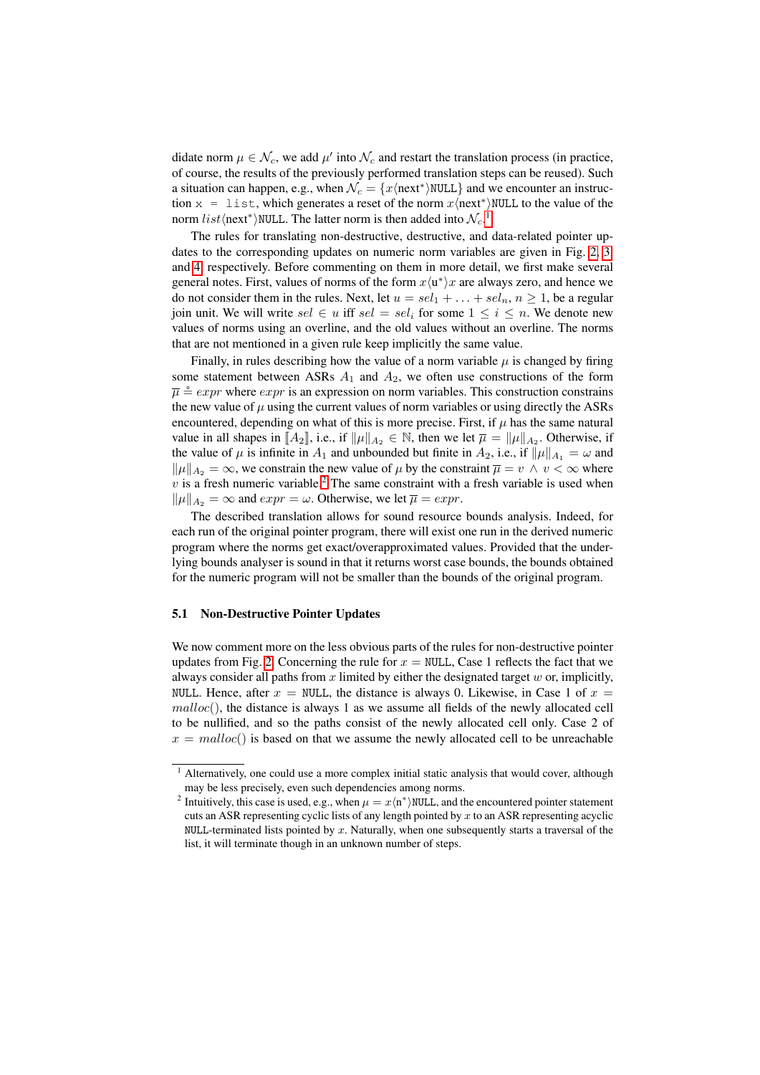didate norm  $\mu \in \mathcal{N}_c$ , we add  $\mu'$  into  $\mathcal{N}_c$  and restart the translation process (in practice, of course, the results of the previously performed translation steps can be reused). Such a situation can happen, e.g., when  $\mathcal{N}_c = \{x \langle \text{next}^* \rangle \text{NULL}\}\$  and we encounter an instruction  $x = \text{list}$ , which generates a reset of the norm  $x \langle \text{next}^* \rangle$  NULL to the value of the norm list $\langle$ next<sup>∗</sup> $\rangle$ NULL. The latter norm is then added into  $\mathcal{N}_c$ .<sup>[1](#page-12-0)</sup>

The rules for translating non-destructive, destructive, and data-related pointer updates to the corresponding updates on numeric norm variables are given in Fig. [2,](#page-13-0) [3,](#page-14-0) and [4,](#page-15-0) respectively. Before commenting on them in more detail, we first make several general notes. First, values of norms of the form  $x\langle u^* \rangle x$  are always zero, and hence we do not consider them in the rules. Next, let  $u = sel_1 + \ldots + sel_n$ ,  $n \ge 1$ , be a regular join unit. We will write  $sel \in u$  iff  $sel = sel_i$  for some  $1 \leq i \leq n$ . We denote new values of norms using an overline, and the old values without an overline. The norms that are not mentioned in a given rule keep implicitly the same value.

Finally, in rules describing how the value of a norm variable  $\mu$  is changed by firing some statement between ASRs  $A_1$  and  $A_2$ , we often use constructions of the form  $\overline{\mu}$   $\cong$  *expr* where *expr* is an expression on norm variables. This construction constrains the new value of  $\mu$  using the current values of norm variables or using directly the ASRs encountered, depending on what of this is more precise. First, if  $\mu$  has the same natural value in all shapes in  $[[A_2]]$ , i.e., if  $\|\mu\|_{A_2} \in \mathbb{N}$ , then we let  $\overline{\mu} = \|\mu\|_{A_2}$ . Otherwise, if the value of  $\mu$  is infinite in  $A_1$  and unbounded but finite in  $A_2$ , i.e., if  $\|\mu\|_{A_1} = \omega$  and  $\|\mu\|_{A_2} = \infty$ , we constrain the new value of  $\mu$  by the constraint  $\overline{\mu} = v \wedge v < \infty$  where  $v$  is a fresh numeric variable.<sup>[2](#page-12-1)</sup> The same constraint with a fresh variable is used when  $\|\mu\|_{A_2} = \infty$  and  $expr = \omega$ . Otherwise, we let  $\overline{\mu} = expr$ .

The described translation allows for sound resource bounds analysis. Indeed, for each run of the original pointer program, there will exist one run in the derived numeric program where the norms get exact/overapproximated values. Provided that the underlying bounds analyser is sound in that it returns worst case bounds, the bounds obtained for the numeric program will not be smaller than the bounds of the original program.

### 5.1 Non-Destructive Pointer Updates

We now comment more on the less obvious parts of the rules for non-destructive pointer updates from Fig. [2.](#page-13-0) Concerning the rule for  $x = \text{NULL}$ , Case 1 reflects the fact that we always consider all paths from  $x$  limited by either the designated target  $w$  or, implicitly, NULL. Hence, after  $x =$  NULL, the distance is always 0. Likewise, in Case 1 of  $x =$  $malloc()$ , the distance is always 1 as we assume all fields of the newly allocated cell to be nullified, and so the paths consist of the newly allocated cell only. Case 2 of  $x = malloc()$  is based on that we assume the newly allocated cell to be unreachable

<span id="page-12-0"></span> $1$  Alternatively, one could use a more complex initial static analysis that would cover, although may be less precisely, even such dependencies among norms.

<span id="page-12-1"></span><sup>&</sup>lt;sup>2</sup> Intuitively, this case is used, e.g., when  $\mu = x \langle n^* \rangle$  NULL, and the encountered pointer statement cuts an ASR representing cyclic lists of any length pointed by  $x$  to an ASR representing acyclic NULL-terminated lists pointed by  $x$ . Naturally, when one subsequently starts a traversal of the list, it will terminate though in an unknown number of steps.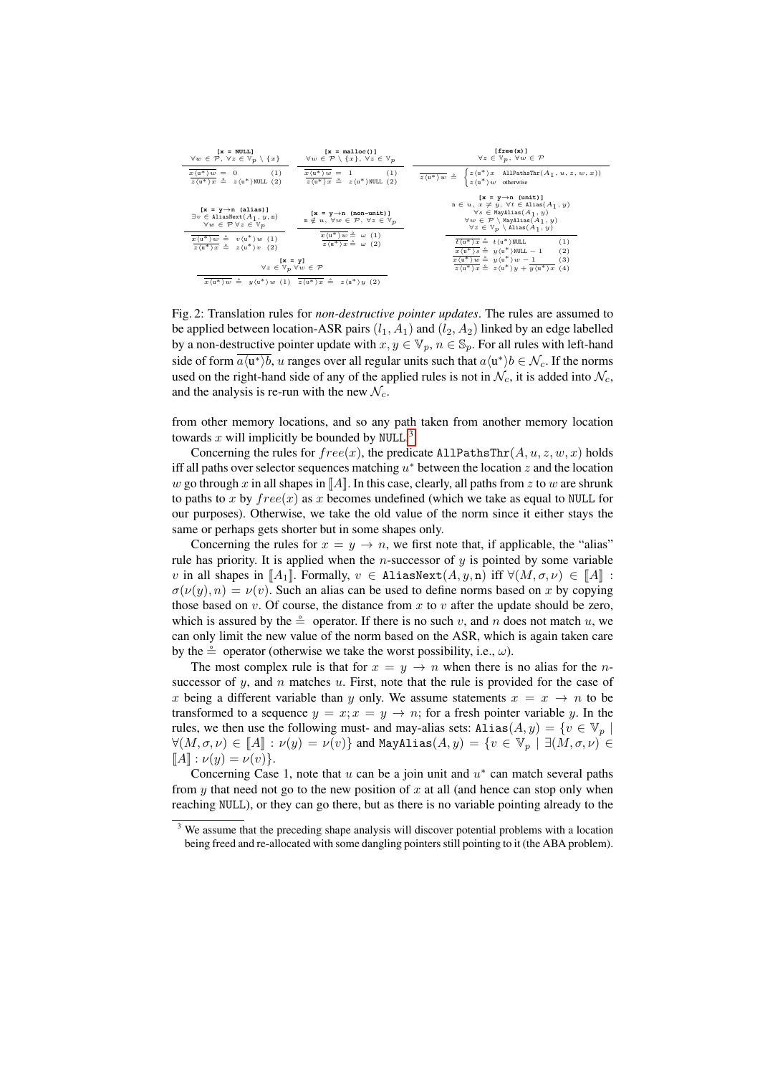<span id="page-13-0"></span>

| $[x = NULL]$<br>$\forall w \in \mathcal{P}, \ \forall z \in \mathbb{V}_p \setminus \{x\}$                                                                                                                                                                                                  | $[x = \text{malloc}()]$<br>$\forall w \in \mathcal{P} \setminus \{x\}, \ \forall z \in \mathbb{V}_n$                                                                                                            | [free(x)]<br>$\forall z \in \mathbb{V}_p, \ \forall w \in \mathcal{P}$                                                                                                                                                                                                                                                                                                                                                                                   |  |  |  |  |  |
|--------------------------------------------------------------------------------------------------------------------------------------------------------------------------------------------------------------------------------------------------------------------------------------------|-----------------------------------------------------------------------------------------------------------------------------------------------------------------------------------------------------------------|----------------------------------------------------------------------------------------------------------------------------------------------------------------------------------------------------------------------------------------------------------------------------------------------------------------------------------------------------------------------------------------------------------------------------------------------------------|--|--|--|--|--|
| $\overline{x \langle u^* \rangle w} = 0$ (1)<br>$\overline{z \langle u^* \rangle x}$ = $z \langle u^* \rangle$ NULL (2)                                                                                                                                                                    | $\overline{x \langle u^* \rangle w} = 1$ (1)<br>$\overline{z(u^*)x} \stackrel{\circ}{=} z(u^*)$ NULL (2)                                                                                                        | $\overline{z \langle u^* \rangle w} \triangleq \begin{cases} z \langle u^* \rangle x & \text{AllPathsThr}(A_1, u, z, w, x) \\ z \langle u^* \rangle w & \text{otherwise} \end{cases}$                                                                                                                                                                                                                                                                    |  |  |  |  |  |
| $[x = y \rightarrow n \text{ (alias)}]$<br>$\exists v \in$ AliasNext $(A_1, y, n)$<br>$\forall w \in \mathcal{P} \ \forall z \in \mathbb{V}_n$<br>$x \langle u^* \rangle w \triangleq v \langle u^* \rangle w$ (1)<br>$\overline{z \langle u^* \rangle x}$ = $z \langle u^* \rangle v$ (2) | $[x = y \rightarrow n \text{ (non-unit)}]$<br>$n \notin u$ , $\forall w \in \mathcal{P}, \ \forall z \in \mathbb{V}_n$<br>$x\langle u^*\rangle w \stackrel{\circ}{=} \omega(1)$<br>$\sqrt{z(u^*)x} = \omega(2)$ | $[x = y \rightarrow n \text{ (unit)}]$<br>$n \in u$ , $x \neq y$ , $\forall t \in \text{Alias}(A_1, y)$<br>$\forall s \in$ MayAlias $(A_1, y)$<br>$\forall w \in \mathcal{P} \setminus$ MayAlias $(A_1, y)$<br>$\forall z \in \mathbb{V}_n \setminus \text{Alias}(A_1, y)$<br>$t\langle u^*\rangle x \stackrel{\circ}{=} t\langle u^*\rangle$ NULL<br>(1)<br>$\overline{x \langle u^* \rangle s} \stackrel{\circ}{=} y \langle u^* \rangle$ NULL - 1 (2) |  |  |  |  |  |
| $[x = y]$<br>$\forall z \in \mathbb{V}_p \ \forall w \in \mathcal{P}$                                                                                                                                                                                                                      |                                                                                                                                                                                                                 | $\overline{x \langle u^* \rangle w} = y \langle u^* \rangle w - 1$ (3)<br>$z(u^*)x = z(u^*)y + y(u^*)x$ (4)                                                                                                                                                                                                                                                                                                                                              |  |  |  |  |  |
| $\overline{x \langle u^* \rangle w} \stackrel{\circ}{=} y \langle u^* \rangle w$ (1) $\overline{z \langle u^* \rangle x} \stackrel{\circ}{=} z \langle u^* \rangle y$ (2)                                                                                                                  |                                                                                                                                                                                                                 |                                                                                                                                                                                                                                                                                                                                                                                                                                                          |  |  |  |  |  |

Fig. 2: Translation rules for *non-destructive pointer updates*. The rules are assumed to be applied between location-ASR pairs  $(l_1, A_1)$  and  $(l_2, A_2)$  linked by an edge labelled by a non-destructive pointer update with  $x, y \in V_p$ ,  $n \in S_p$ . For all rules with left-hand side of form  $\overline{a\langle u^*\rangle b}$ , u ranges over all regular units such that  $a\langle u^*\rangle b\in\mathcal{N}_c$ . If the norms used on the right-hand side of any of the applied rules is not in  $\mathcal{N}_c$ , it is added into  $\mathcal{N}_c$ , and the analysis is re-run with the new  $\mathcal{N}_c$ .

from other memory locations, and so any path taken from another memory location towards  $x$  will implicitly be bounded by NULL.<sup>[3](#page-13-1)</sup>

Concerning the rules for  $free(x)$ , the predicate AllPathsThr $(A, u, z, w, x)$  holds iff all paths over selector sequences matching  $u^*$  between the location  $z$  and the location w go through x in all shapes in [[A]. In this case, clearly, all paths from z to w are shrunk to paths to x by  $free(x)$  as x becomes undefined (which we take as equal to NULL for our purposes). Otherwise, we take the old value of the norm since it either stays the same or perhaps gets shorter but in some shapes only.

Concerning the rules for  $x = y \rightarrow n$ , we first note that, if applicable, the "alias" rule has priority. It is applied when the *n*-successor of  $y$  is pointed by some variable v in all shapes in  $[[A_1]]$ . Formally,  $v \in$  AliasNext $(A, y, n)$  iff  $\forall (M, \sigma, \nu) \in [[A]]$ :  $\sigma(\nu(y), n) = \nu(v)$ . Such an alias can be used to define norms based on x by copying those based on  $v$ . Of course, the distance from  $x$  to  $v$  after the update should be zero, which is assured by the  $\stackrel{\circ}{=}$  operator. If there is no such v, and n does not match u, we can only limit the new value of the norm based on the ASR, which is again taken care by the  $\stackrel{\circ}{=}$  operator (otherwise we take the worst possibility, i.e.,  $\omega$ ).

The most complex rule is that for  $x = y \rightarrow n$  when there is no alias for the *n*successor of y, and n matches u. First, note that the rule is provided for the case of x being a different variable than y only. We assume statements  $x = x \rightarrow n$  to be transformed to a sequence  $y = x; x = y \rightarrow n$ ; for a fresh pointer variable y. In the rules, we then use the following must- and may-alias sets: Alias $(A, y) = \{v \in V_p | v \in V_p\}$  $\forall (M,\sigma,\nu) \in \llbracket A \rrbracket : \nu(y) = \nu(v) \}$  and MayAlias $(A,y) = \{v \in \mathbb{V}_p \mid \exists (M,\sigma,\nu) \in \mathbb{V}_p \}$  $[[A] : \nu(y) = \nu(v)].$ 

Concerning Case 1, note that  $u$  can be a join unit and  $u^*$  can match several paths from  $y$  that need not go to the new position of  $x$  at all (and hence can stop only when reaching NULL), or they can go there, but as there is no variable pointing already to the

<span id="page-13-1"></span><sup>&</sup>lt;sup>3</sup> We assume that the preceding shape analysis will discover potential problems with a location being freed and re-allocated with some dangling pointers still pointing to it (the ABA problem).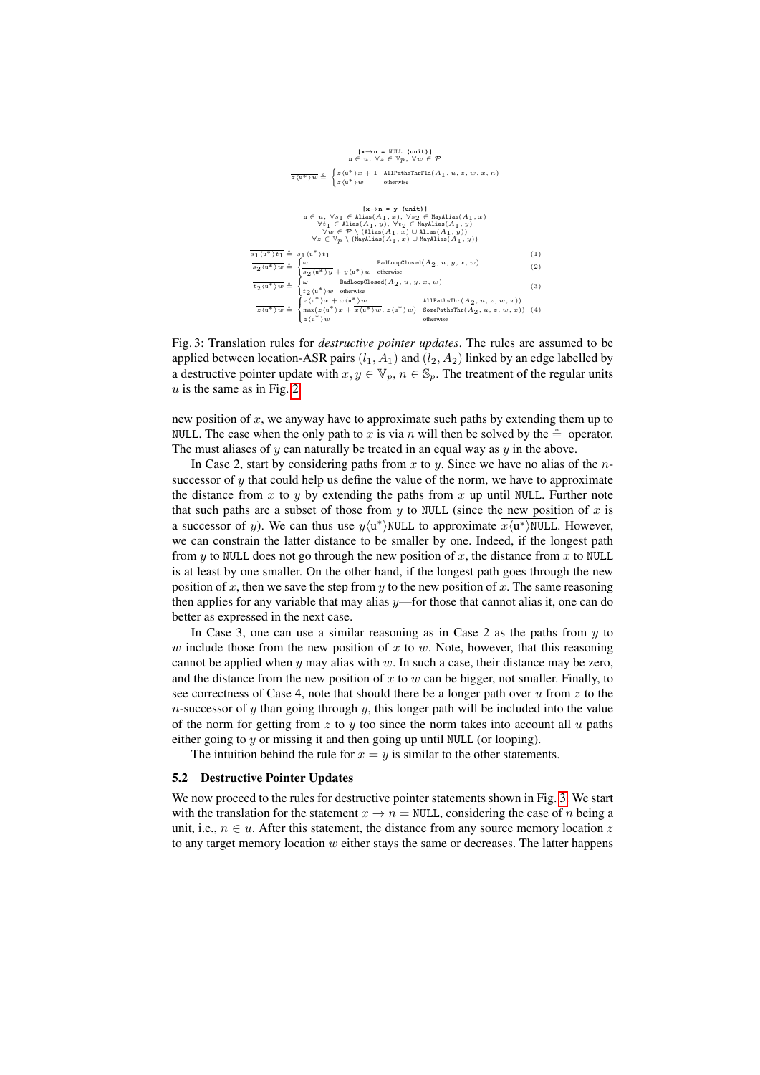<span id="page-14-0"></span>

Fig. 3: Translation rules for *destructive pointer updates*. The rules are assumed to be applied between location-ASR pairs  $(l_1, A_1)$  and  $(l_2, A_2)$  linked by an edge labelled by a destructive pointer update with  $x, y \in V_p$ ,  $n \in S_p$ . The treatment of the regular units  $u$  is the same as in Fig. [2.](#page-13-0)

new position of x, we anyway have to approximate such paths by extending them up to NULL. The case when the only path to x is via n will then be solved by the  $\stackrel{\circ}{=}$  operator. The must aliases of  $y$  can naturally be treated in an equal way as  $y$  in the above.

In Case 2, start by considering paths from  $x$  to  $y$ . Since we have no alias of the  $n$ successor of  $y$  that could help us define the value of the norm, we have to approximate the distance from  $x$  to  $y$  by extending the paths from  $x$  up until NULL. Further note that such paths are a subset of those from  $y$  to NULL (since the new position of x is a successor of y). We can thus use  $y\langle u^* \rangle$  NULL to approximate  $\overline{x\langle u^* \rangle}$  NULL. However, we can constrain the latter distance to be smaller by one. Indeed, if the longest path from  $y$  to NULL does not go through the new position of x, the distance from x to NULL is at least by one smaller. On the other hand, if the longest path goes through the new position of x, then we save the step from y to the new position of x. The same reasoning then applies for any variable that may alias  $y$ —for those that cannot alias it, one can do better as expressed in the next case.

In Case 3, one can use a similar reasoning as in Case 2 as the paths from  $y$  to w include those from the new position of  $x$  to  $w$ . Note, however, that this reasoning cannot be applied when  $y$  may alias with  $w$ . In such a case, their distance may be zero, and the distance from the new position of  $x$  to  $w$  can be bigger, not smaller. Finally, to see correctness of Case 4, note that should there be a longer path over u from z to the *n*-successor of y than going through y, this longer path will be included into the value of the norm for getting from z to y too since the norm takes into account all  $u$  paths either going to  $y$  or missing it and then going up until NULL (or looping).

The intuition behind the rule for  $x = y$  is similar to the other statements.

### 5.2 Destructive Pointer Updates

We now proceed to the rules for destructive pointer statements shown in Fig. [3.](#page-14-0) We start with the translation for the statement  $x \to n =$  NULL, considering the case of n being a unit, i.e.,  $n \in u$ . After this statement, the distance from any source memory location z to any target memory location  $w$  either stays the same or decreases. The latter happens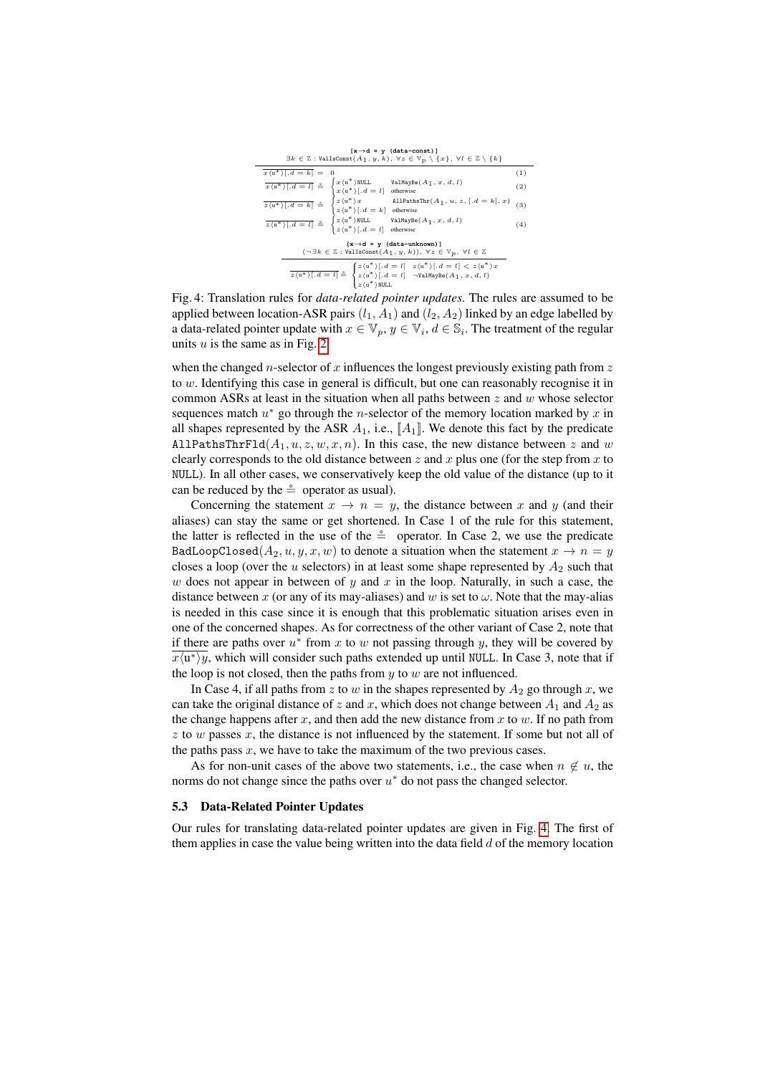<span id="page-15-0"></span> $[**x**→**d** = **y**$  (data-const)]<br>  $\exists k \in \mathbb{Z} :$  ValIsConst $(A_1, y, k)$ ,  $\forall z \in \mathbb{V}_p \setminus \{x\}$ ,  $\forall l \in \mathbb{Z} \setminus \{k\}$  $\overline{x\langle u^* \rangle [d = k]} = 0$  (1)  $x\langle u^* \rangle$ [.d = l]  $\stackrel{\circ}{=}$  $\begin{cases} x \langle \mathbf{u}^* \rangle \text{NULL} & \text{ValMayBe}(A_1, x, d, l) \\ x \langle \mathbf{u}^* \rangle [d = l] & \text{otherwise} \end{cases}$ (2)  $\overline{z\langle u^* \rangle}$ [.d = k]  $\stackrel{\circ}{=}$  $\int z \langle u$  $\texttt{AllPathsThr}(A_1, u, z, [.d = k], x)$  $z\langle u^* \rangle$ [. $d = k$ ] otherwise  $(3)$  $z\langle u^*\rangle[.d = l] \triangleq$  $\int z \langle u$ ValMayBe $(A_1, x, d, l)$  $z\langle u^* \rangle$ [.d = l] otherwise  $(4)$ **[x**→**d = y (data-unknown)]**<br>  $(¬∃k ∈ ℤ : ValIsConst(A₁, y, k)), ∀z ∈ ℨp, ∀l ∈ ℤ)$  $\overline{z\langle u^* \rangle$ [. $d = l$ ]  $\stackrel{\circ}{=}$ ſ ₹  $\begin{array}{lcl} z\, \langle {\bf u}^* \rangle \, [\, .d = l] & z \, \langle {\bf u}^* \rangle \, [\, .d = l] & < z \, \langle {\bf u}^* \rangle \, x \\ z \, \langle {\bf u}^* \rangle \, [\, .d = l] & \neg \texttt{ValMapBe}\, (\, A_{\,1} \,,\, x \,,\, d \,,\, l \,) \\ z \, \langle {\bf u}^* \rangle \, \texttt{NULL} & \end{array}$ 

Fig. 4: Translation rules for *data-related pointer updates*. The rules are assumed to be applied between location-ASR pairs  $(l_1, A_1)$  and  $(l_2, A_2)$  linked by an edge labelled by a data-related pointer update with  $x \in \mathbb{V}_p$ ,  $y \in \mathbb{V}_i$ ,  $d \in \mathbb{S}_i$ . The treatment of the regular units  $u$  is the same as in Fig. [2.](#page-13-0)

when the changed *n*-selector of x influences the longest previously existing path from z to  $w$ . Identifying this case in general is difficult, but one can reasonably recognise it in common ASRs at least in the situation when all paths between  $z$  and  $w$  whose selector sequences match  $u^*$  go through the *n*-selector of the memory location marked by x in all shapes represented by the ASR  $A_1$ , i.e.,  $\llbracket A_1 \rrbracket$ . We denote this fact by the predicate AllPathsThrFld( $A_1, u, z, w, x, n$ ). In this case, the new distance between z and w clearly corresponds to the old distance between z and x plus one (for the step from x to NULL). In all other cases, we conservatively keep the old value of the distance (up to it can be reduced by the  $\stackrel{\circ}{=}$  operator as usual).

Concerning the statement  $x \to n = y$ , the distance between x and y (and their aliases) can stay the same or get shortened. In Case 1 of the rule for this statement, the latter is reflected in the use of the  $\stackrel{\circ}{=}$  operator. In Case 2, we use the predicate BadLoopClosed( $A_2, u, y, x, w$ ) to denote a situation when the statement  $x \to n = y$ closes a loop (over the u selectors) in at least some shape represented by  $A_2$  such that w does not appear in between of y and x in the loop. Naturally, in such a case, the distance between x (or any of its may-aliases) and w is set to  $\omega$ . Note that the may-alias is needed in this case since it is enough that this problematic situation arises even in one of the concerned shapes. As for correctness of the other variant of Case 2, note that if there are paths over  $u^*$  from x to w not passing through y, they will be covered by  $x \langle u^* \rangle y$ , which will consider such paths extended up until NULL. In Case 3, note that if the loop is not closed, then the paths from  $y$  to  $w$  are not influenced.

In Case 4, if all paths from z to w in the shapes represented by  $A_2$  go through x, we can take the original distance of z and x, which does not change between  $A_1$  and  $A_2$  as the change happens after x, and then add the new distance from  $x$  to  $w$ . If no path from  $z$  to w passes x, the distance is not influenced by the statement. If some but not all of the paths pass  $x$ , we have to take the maximum of the two previous cases.

As for non-unit cases of the above two statements, i.e., the case when  $n \notin u$ , the norms do not change since the paths over  $u^*$  do not pass the changed selector.

#### 5.3 Data-Related Pointer Updates

Our rules for translating data-related pointer updates are given in Fig. [4.](#page-15-0) The first of them applies in case the value being written into the data field  $d$  of the memory location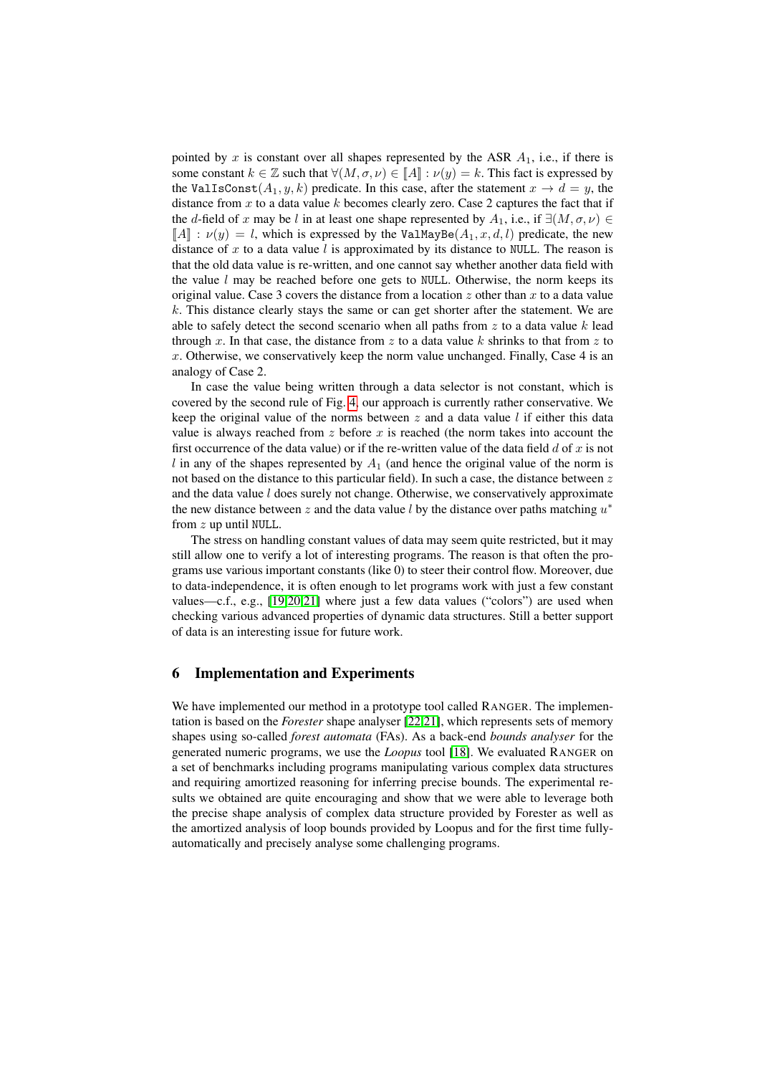pointed by x is constant over all shapes represented by the ASR  $A_1$ , i.e., if there is some constant  $k \in \mathbb{Z}$  such that  $\forall (M, \sigma, \nu) \in \llbracket A \rrbracket : \nu(y) = k$ . This fact is expressed by the ValIsConst $(A_1, y, k)$  predicate. In this case, after the statement  $x \to d = y$ , the distance from x to a data value  $k$  becomes clearly zero. Case 2 captures the fact that if the d-field of x may be l in at least one shape represented by  $A_1$ , i.e., if  $\exists (M, \sigma, \nu) \in$  $\llbracket A \rrbracket$ :  $\nu(y) = l$ , which is expressed by the ValMayBe $(A_1, x, d, l)$  predicate, the new distance of x to a data value  $l$  is approximated by its distance to NULL. The reason is that the old data value is re-written, and one cannot say whether another data field with the value  $l$  may be reached before one gets to NULL. Otherwise, the norm keeps its original value. Case 3 covers the distance from a location  $z$  other than  $x$  to a data value k. This distance clearly stays the same or can get shorter after the statement. We are able to safely detect the second scenario when all paths from  $z$  to a data value  $k$  lead through x. In that case, the distance from z to a data value k shrinks to that from z to  $x$ . Otherwise, we conservatively keep the norm value unchanged. Finally, Case  $4$  is an analogy of Case 2.

In case the value being written through a data selector is not constant, which is covered by the second rule of Fig. [4,](#page-15-0) our approach is currently rather conservative. We keep the original value of the norms between  $z$  and a data value l if either this data value is always reached from  $z$  before  $x$  is reached (the norm takes into account the first occurrence of the data value) or if the re-written value of the data field  $d$  of  $x$  is not l in any of the shapes represented by  $A_1$  (and hence the original value of the norm is not based on the distance to this particular field). In such a case, the distance between  $z$ and the data value  $l$  does surely not change. Otherwise, we conservatively approximate the new distance between  $z$  and the data value  $l$  by the distance over paths matching  $u^*$ from  $z$  up until NULL.

The stress on handling constant values of data may seem quite restricted, but it may still allow one to verify a lot of interesting programs. The reason is that often the programs use various important constants (like 0) to steer their control flow. Moreover, due to data-independence, it is often enough to let programs work with just a few constant values—c.f., e.g., [\[19](#page-20-18)[,20](#page-20-19)[,21\]](#page-20-20) where just a few data values ("colors") are used when checking various advanced properties of dynamic data structures. Still a better support of data is an interesting issue for future work.

### 6 Implementation and Experiments

We have implemented our method in a prototype tool called RANGER. The implementation is based on the *Forester* shape analyser [\[22,](#page-20-21)[21\]](#page-20-20), which represents sets of memory shapes using so-called *forest automata* (FAs). As a back-end *bounds analyser* for the generated numeric programs, we use the *Loopus* tool [\[18\]](#page-20-7). We evaluated RANGER on a set of benchmarks including programs manipulating various complex data structures and requiring amortized reasoning for inferring precise bounds. The experimental results we obtained are quite encouraging and show that we were able to leverage both the precise shape analysis of complex data structure provided by Forester as well as the amortized analysis of loop bounds provided by Loopus and for the first time fullyautomatically and precisely analyse some challenging programs.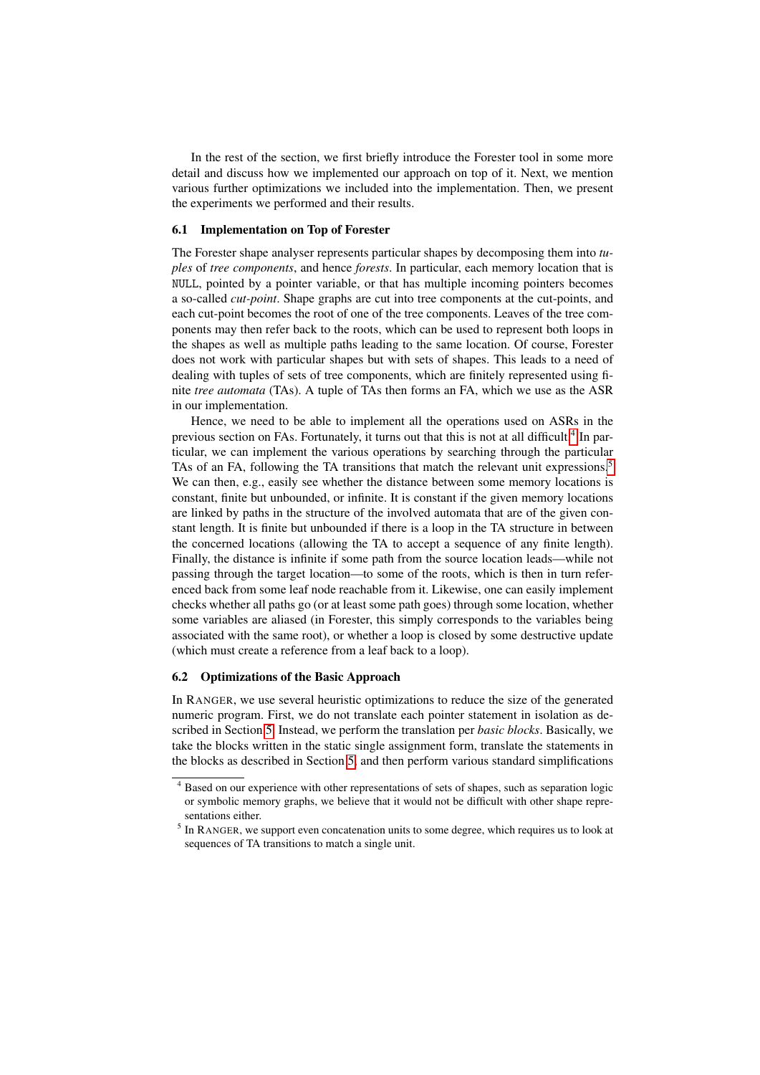In the rest of the section, we first briefly introduce the Forester tool in some more detail and discuss how we implemented our approach on top of it. Next, we mention various further optimizations we included into the implementation. Then, we present the experiments we performed and their results.

# 6.1 Implementation on Top of Forester

The Forester shape analyser represents particular shapes by decomposing them into *tuples* of *tree components*, and hence *forests*. In particular, each memory location that is NULL, pointed by a pointer variable, or that has multiple incoming pointers becomes a so-called *cut-point*. Shape graphs are cut into tree components at the cut-points, and each cut-point becomes the root of one of the tree components. Leaves of the tree components may then refer back to the roots, which can be used to represent both loops in the shapes as well as multiple paths leading to the same location. Of course, Forester does not work with particular shapes but with sets of shapes. This leads to a need of dealing with tuples of sets of tree components, which are finitely represented using finite *tree automata* (TAs). A tuple of TAs then forms an FA, which we use as the ASR in our implementation.

Hence, we need to be able to implement all the operations used on ASRs in the previous section on FAs. Fortunately, it turns out that this is not at all difficult.<sup>[4](#page-17-1)</sup> In particular, we can implement the various operations by searching through the particular TAs of an FA, following the TA transitions that match the relevant unit expressions.<sup>[5](#page-17-2)</sup> We can then, e.g., easily see whether the distance between some memory locations is constant, finite but unbounded, or infinite. It is constant if the given memory locations are linked by paths in the structure of the involved automata that are of the given constant length. It is finite but unbounded if there is a loop in the TA structure in between the concerned locations (allowing the TA to accept a sequence of any finite length). Finally, the distance is infinite if some path from the source location leads—while not passing through the target location—to some of the roots, which is then in turn referenced back from some leaf node reachable from it. Likewise, one can easily implement checks whether all paths go (or at least some path goes) through some location, whether some variables are aliased (in Forester, this simply corresponds to the variables being associated with the same root), or whether a loop is closed by some destructive update (which must create a reference from a leaf back to a loop).

### <span id="page-17-0"></span>6.2 Optimizations of the Basic Approach

In RANGER, we use several heuristic optimizations to reduce the size of the generated numeric program. First, we do not translate each pointer statement in isolation as described in Section [5.](#page-10-0) Instead, we perform the translation per *basic blocks*. Basically, we take the blocks written in the static single assignment form, translate the statements in the blocks as described in Section [5,](#page-10-0) and then perform various standard simplifications

<span id="page-17-1"></span><sup>&</sup>lt;sup>4</sup> Based on our experience with other representations of sets of shapes, such as separation logic or symbolic memory graphs, we believe that it would not be difficult with other shape representations either.

<span id="page-17-2"></span><sup>&</sup>lt;sup>5</sup> In RANGER, we support even concatenation units to some degree, which requires us to look at sequences of TA transitions to match a single unit.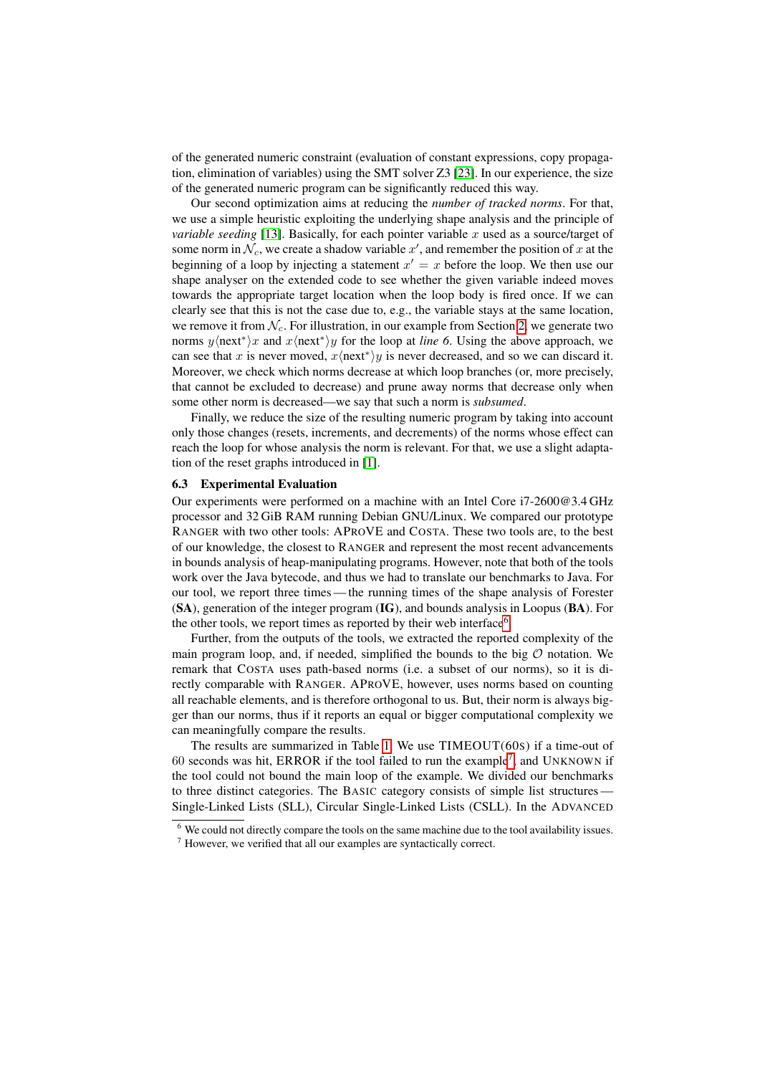of the generated numeric constraint (evaluation of constant expressions, copy propagation, elimination of variables) using the SMT solver Z3 [\[23\]](#page-20-22). In our experience, the size of the generated numeric program can be significantly reduced this way.

Our second optimization aims at reducing the *number of tracked norms*. For that, we use a simple heuristic exploiting the underlying shape analysis and the principle of *variable seeding* [\[13\]](#page-20-13). Basically, for each pointer variable  $x$  used as a source/target of some norm in  $\mathcal{N}_c$ , we create a shadow variable  $x'$ , and remember the position of x at the beginning of a loop by injecting a statement  $x' = x$  before the loop. We then use our shape analyser on the extended code to see whether the given variable indeed moves towards the appropriate target location when the loop body is fired once. If we can clearly see that this is not the case due to, e.g., the variable stays at the same location, we remove it from  $\mathcal{N}_c$ . For illustration, in our example from Section [2,](#page-3-0) we generate two norms  $y\langle \text{next}^* \rangle x$  and  $x\langle \text{next}^* \rangle y$  for the loop at *line 6*. Using the above approach, we can see that x is never moved,  $x$  $\langle$ next<sup>\*</sup> $\rangle$ y is never decreased, and so we can discard it. Moreover, we check which norms decrease at which loop branches (or, more precisely, that cannot be excluded to decrease) and prune away norms that decrease only when some other norm is decreased—we say that such a norm is *subsumed*.

Finally, we reduce the size of the resulting numeric program by taking into account only those changes (resets, increments, and decrements) of the norms whose effect can reach the loop for whose analysis the norm is relevant. For that, we use a slight adaptation of the reset graphs introduced in [\[1\]](#page-20-0).

#### 6.3 Experimental Evaluation

Our experiments were performed on a machine with an Intel Core i7-2600@3.4 GHz processor and 32 GiB RAM running Debian GNU/Linux. We compared our prototype RANGER with two other tools: APROVE and COSTA. These two tools are, to the best of our knowledge, the closest to RANGER and represent the most recent advancements in bounds analysis of heap-manipulating programs. However, note that both of the tools work over the Java bytecode, and thus we had to translate our benchmarks to Java. For our tool, we report three times — the running times of the shape analysis of Forester (SA), generation of the integer program (IG), and bounds analysis in Loopus (BA). For the other tools, we report times as reported by their web interface<sup>[6](#page-18-0)</sup>.

Further, from the outputs of the tools, we extracted the reported complexity of the main program loop, and, if needed, simplified the bounds to the big  $O$  notation. We remark that COSTA uses path-based norms (i.e. a subset of our norms), so it is directly comparable with RANGER. APROVE, however, uses norms based on counting all reachable elements, and is therefore orthogonal to us. But, their norm is always bigger than our norms, thus if it reports an equal or bigger computational complexity we can meaningfully compare the results.

The results are summarized in Table [1.](#page-19-0) We use TIMEOUT(60S) if a time-out of 60 seconds was hit, ERROR if the tool failed to run the example<sup>[7](#page-18-1)</sup>, and UNKNOWN if the tool could not bound the main loop of the example. We divided our benchmarks to three distinct categories. The BASIC category consists of simple list structures — Single-Linked Lists (SLL), Circular Single-Linked Lists (CSLL). In the ADVANCED

<span id="page-18-1"></span><span id="page-18-0"></span><sup>&</sup>lt;sup>6</sup> We could not directly compare the tools on the same machine due to the tool availability issues. <sup>7</sup> However, we verified that all our examples are syntactically correct.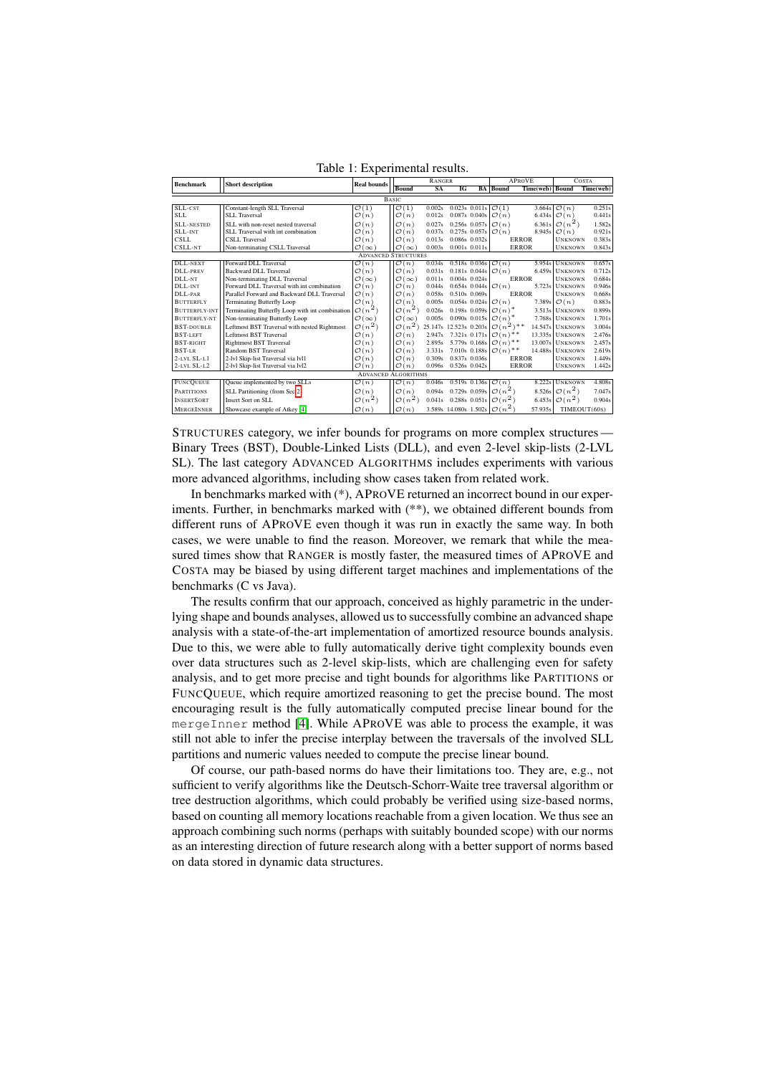<span id="page-19-0"></span>

| <b>Benchmark</b>           | <b>Short description</b>                        | <b>Real bounds</b>    | <b>RANGER</b>               |                        |    | <b>APROVE</b>     |                                          | COSTA           |                           |              |  |
|----------------------------|-------------------------------------------------|-----------------------|-----------------------------|------------------------|----|-------------------|------------------------------------------|-----------------|---------------------------|--------------|--|
|                            |                                                 |                       | <b>Bound</b>                | <b>SA</b>              | IG |                   | <b>BA</b> Bound                          | Time(web) Bound |                           | Time(web)    |  |
| <b>BASIC</b>               |                                                 |                       |                             |                        |    |                   |                                          |                 |                           |              |  |
| SLL-CST                    | Constant-length SLL Traversal                   | $\mathcal{O}(1)$      | $\mathcal{O}(1)$            | 0.002s                 |    | $0.023s$ $0.011s$ | $\overline{\mathcal{O}}(1)$              |                 | 3.664s $\mathcal{O}(n)$   | 0.251s       |  |
| SLL.                       | SLL Traversal                                   | $\mathcal{O}(n)$      | $\mathcal{O}(n)$            | 0.012s                 |    | $0.087s$ 0.040s   | $\mathcal{O}(n)$                         |                 | 6.434s $\mathcal{O}(n)$   | 0.441s       |  |
| <b>SLL-NESTED</b>          | SLL with non-reset nested traversal             | $\mathcal{O}(n)$      | $\mathcal{O}(n)$            | 0.027s                 |    |                   | 0.256s 0.057s $\mathcal{O}(n)$           |                 | 6.361s $\mathcal{O}(n^2)$ | 1.582s       |  |
| SLL-INT                    | SLL Traversal with int combination              | $\mathcal{O}(n)$      | $\mathcal{O}(n)$            | 0.037s                 |    |                   | 0.275s 0.057s $\mathcal{O}(n)$           |                 | 8.945s $\mathcal{O}(n)$   | 0.921s       |  |
| <b>CSLL</b>                | <b>CSLL Traversal</b>                           | $\mathcal{O}(n)$      | $\mathcal{O}(n)$            | 0.013s                 |    | 0.086s 0.032s     | <b>ERROR</b>                             |                 | <b>UNKNOWN</b>            | 0.383s       |  |
| CSLL-NT                    | Non-terminating CSLL Traversal                  | $\mathcal{O}(\infty)$ | $\mathcal{O}(\infty)$       | 0.003s                 |    | $0.001s$ $0.011s$ |                                          | <b>ERROR</b>    | <b>UNKNOWN</b>            | 0.843s       |  |
| <b>ADVANCED STRUCTURES</b> |                                                 |                       |                             |                        |    |                   |                                          |                 |                           |              |  |
| DLL-NEXT                   | Forward DLL Traversal                           | $\mathcal{O}(n)$      | $\mathcal{O}(n)$            | 0.034s                 |    | 0.518s 0.036s     | $\mathcal{O}(n)$                         |                 | 5.954s UNKNOWN            | 0.657s       |  |
| DLL-PREV                   | Backward DLL Traversal                          | $\mathcal{O}(n)$      | $\mathcal{O}(n)$            | 0.031s                 |    |                   | 0.181s $0.044s$ $\mathcal{O}(n)$         |                 | 6.459s UNKNOWN            | 0.712s       |  |
| DLL-NT                     | Non-terminating DLL Traversal                   | $\mathcal{O}(\infty)$ | $\mathcal{O}(\infty)$       | 0.011s                 |    | 0.004s 0.024s     |                                          | <b>ERROR</b>    | <b>UNKNOWN</b>            | 0.684s       |  |
| DLL-INT                    | Forward DLL Traversal with int combination      | $\mathcal{O}(n)$      | $\mathcal{O}(n)$            | 0.044s                 |    | $0.654s$ $0.044s$ | $\mathcal{O}(n)$                         |                 | 5.723s UNKNOWN            | 0.946s       |  |
| DLL-PAR                    | Parallel Forward and Backward DLL Traversal     | $\mathcal{O}(n)$      | $\mathcal{O}(n)$            | 0.058s                 |    | 0.510s 0.069s     | <b>ERROR</b>                             |                 | <b>UNKNOWN</b>            | 0.668s       |  |
| <b>BUTTERFLY</b>           | <b>Terminating Butterfly Loop</b>               | $\mathcal{O}(n)$      | $\mathcal{O}(n)$            | 0.005s                 |    | $0.054s$ $0.024s$ | $\mathcal{O}(n)$                         |                 | 7.389s $\mathcal{O}(n)$   | 0.883s       |  |
| <b>BUTTERFLY-INT</b>       | Terminating Butterfly Loop with int combination | $O(n^2)$              | $O(n^2)$                    | 0.026s                 |    |                   | 0.198s 0.059s $\mathcal{O}(n)^*$         |                 | 3.513s UNKNOWN            | 0.899s       |  |
| <b>BUTTERFLY-NT</b>        | Non-terminating Butterfly Loop                  | $\mathcal{O}(\infty)$ | $\mathcal{O}(\infty)$       | 0.005s                 |    |                   | 0.090s 0.015s $\mathcal{O}(n)^*$         |                 | 7.768s UNKNOWN            | 1.701s       |  |
| <b>BST-DOUBLE</b>          | Leftmost BST Traversal with nested Rightmost    | $O(n^2)$              | $O(n^2)$                    | 25.147s 12.523s 0.203s |    |                   | $O(n^2)^{**}$                            |                 | 14.547s UNKNOWN           | 3.004s       |  |
| <b>BST-LEFT</b>            | Leftmost BST Traversal                          | $\mathcal{O}(n)$      | $\mathcal{O}(n)$            | 2.947s                 |    |                   | 7.321s 0.171s $\mathcal{O}(n)$ **        |                 | 13.335s UNKNOWN           | 2.476s       |  |
| <b>BST-RIGHT</b>           | <b>Rightmost BST Traversal</b>                  | $\mathcal{O}(n)$      | $\mathcal{O}(n)$            | 2.895s                 |    |                   | 5.779s 0.168s $\mathcal{O}(n)$ **        |                 | 13.007s UNKNOWN           | 2.457s       |  |
| BST-LR                     | <b>Random BST Traversal</b>                     | $\mathcal{O}(n)$      | $\mathcal{O}(n)$            | 3.331s                 |    |                   | 7.010s 0.188s $\mathcal{O}(n)$ **        |                 | 14.488s UNKNOWN           | 2.619s       |  |
| $2$ -LVL $SL-L1$           | 2-lvl Skip-list Traversal via lvl1              | $\mathcal{O}(n)$      | $\mathcal{O}(n)$            | 0.309s                 |    | 0.837s 0.036s     |                                          | <b>ERROR</b>    | <b>UNKNOWN</b>            | 1.449s       |  |
| $2$ -LVL $SL-L2$           | 2-lvl Skip-list Traversal via lvl2              | $\mathcal{O}(n)$      | $\mathcal{O}(n)$            | 0.096s                 |    | 0.526s 0.042s     |                                          | <b>ERROR</b>    | <b>UNKNOWN</b>            | 1.442s       |  |
| <b>ADVANCED ALGORITHMS</b> |                                                 |                       |                             |                        |    |                   |                                          |                 |                           |              |  |
| <b>FUNCOUEUE</b>           | Queue implemented by two SLLs                   | $\mathcal{O}(n)$      | $\overline{\mathcal{O}}(n)$ | 0.046s                 |    | $0.519s$ $0.136s$ | $\mathcal{O}(n)$                         |                 | 8.222s UNKNOWN            | 4.808s       |  |
| <b>PARTITIONS</b>          | SLL Partitioning (from Sec 2)                   | $\mathcal{O}(n)$      | $\mathcal{O}(n)$            | 0.094s                 |    | 0.729s 0.059s     | $O(n^2)$                                 |                 | 8.526s $\mathcal{O}(n^2)$ | 7.047s       |  |
| <b>INSERTSORT</b>          | Insert Sort on SLL                              | $O(n^2)$              | $O(n^2)$                    | 0.041s                 |    |                   | 0.288s 0.051s $\mathcal{O}(n^2)$         |                 | 6.453s $\mathcal{O}(n^2)$ | 0.904s       |  |
| <b>MERGEINNER</b>          | Showcase example of Atkey [4]                   | $\mathcal{O}(n)$      | $\mathcal{O}(n)$            |                        |    |                   | 3.589s 14.080s 1.502s $\mathcal{O}(n^2)$ | 57.935s         |                           | TIMEOUT(60s) |  |

Table 1: Experimental results.

STRUCTURES category, we infer bounds for programs on more complex structures — Binary Trees (BST), Double-Linked Lists (DLL), and even 2-level skip-lists (2-LVL SL). The last category ADVANCED ALGORITHMS includes experiments with various more advanced algorithms, including show cases taken from related work.

In benchmarks marked with (\*), APROVE returned an incorrect bound in our experiments. Further, in benchmarks marked with (\*\*), we obtained different bounds from different runs of APROVE even though it was run in exactly the same way. In both cases, we were unable to find the reason. Moreover, we remark that while the measured times show that RANGER is mostly faster, the measured times of APROVE and COSTA may be biased by using different target machines and implementations of the benchmarks (C vs Java).

The results confirm that our approach, conceived as highly parametric in the underlying shape and bounds analyses, allowed us to successfully combine an advanced shape analysis with a state-of-the-art implementation of amortized resource bounds analysis. Due to this, we were able to fully automatically derive tight complexity bounds even over data structures such as 2-level skip-lists, which are challenging even for safety analysis, and to get more precise and tight bounds for algorithms like PARTITIONS or FUNCQUEUE, which require amortized reasoning to get the precise bound. The most encouraging result is the fully automatically computed precise linear bound for the mergeInner method [\[4\]](#page-20-3). While APROVE was able to process the example, it was still not able to infer the precise interplay between the traversals of the involved SLL partitions and numeric values needed to compute the precise linear bound.

Of course, our path-based norms do have their limitations too. They are, e.g., not sufficient to verify algorithms like the Deutsch-Schorr-Waite tree traversal algorithm or tree destruction algorithms, which could probably be verified using size-based norms, based on counting all memory locations reachable from a given location. We thus see an approach combining such norms (perhaps with suitably bounded scope) with our norms as an interesting direction of future research along with a better support of norms based on data stored in dynamic data structures.